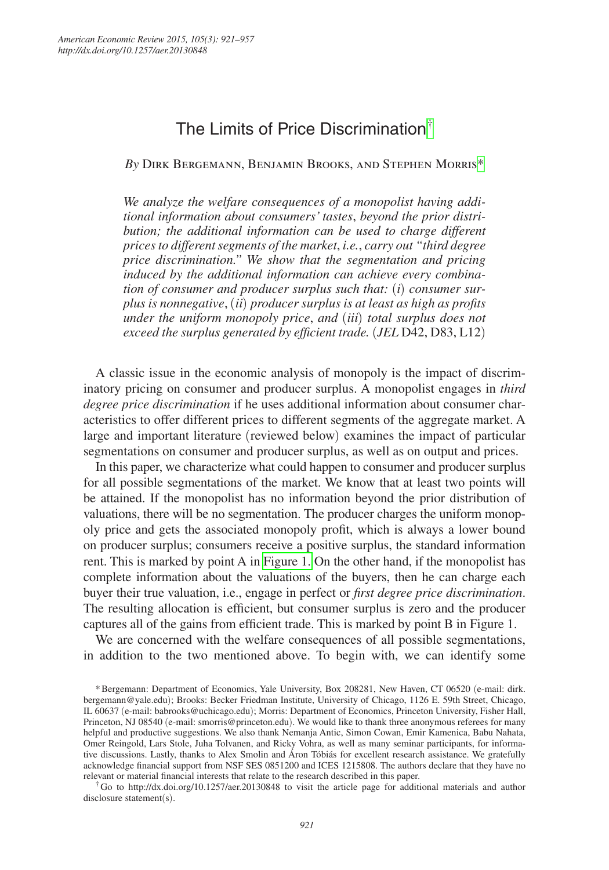# The Limits of Price Discrimination[†](#page-0-0)

*By* Dirk Bergemann, Benjamin Brooks, and Stephen Morris[\\*](#page-0-1)

*We analyze the welfare consequences of a monopolist having additional information about consumers' tastes*, *beyond the prior distribution; the additional information can be used to charge different prices to different segments of the market*, *i.e.*, *carry out "third degree price discrimination." We show that the segmentation and pricing induced by the additional information can achieve every combination of consumer and producer surplus such that:* (*i*) *consumer surplus is nonnegative*, (*ii*) *producer surplus is at least as high as profits under the uniform monopoly price*, *and* (*iii*) *total surplus does not exceed the surplus generated by efficient trade.* (*JEL* D42, D83, L12)

A classic issue in the economic analysis of monopoly is the impact of discriminatory pricing on consumer and producer surplus. A monopolist engages in *third degree price discrimination* if he uses additional information about consumer characteristics to offer different prices to different segments of the aggregate market. A large and important literature (reviewed below) examines the impact of particular segmentations on consumer and producer surplus, as well as on output and prices.

In this paper, we characterize what could happen to consumer and producer surplus for all possible segmentations of the market. We know that at least two points will be attained. If the monopolist has no information beyond the prior distribution of valuations, there will be no segmentation. The producer charges the uniform monopoly price and gets the associated monopoly profit, which is always a lower bound on producer surplus; consumers receive a positive surplus, the standard information rent. This is marked by point A in [Figure 1.](#page-1-0) On the other hand, if the monopolist has complete information about the valuations of the buyers, then he can charge each buyer their true valuation, i.e., engage in perfect or *first degree price discrimination*. The resulting allocation is efficient, but consumer surplus is zero and the producer captures all of the gains from efficient trade. This is marked by point B in Figure 1.

We are concerned with the welfare consequences of all possible segmentations, in addition to the two mentioned above. To begin with, we can identify some

<span id="page-0-0"></span>†Go to <http://dx.doi.org/10.1257/aer.20130848>to visit the article page for additional materials and author disclosure statement(s).

<span id="page-0-1"></span><sup>\*</sup>Bergemann: Department of Economics, Yale University, Box 208281, New Haven, CT 06520 (e-mail: [dirk.](mailto:dirk.bergemann@yale.edu) [bergemann@yale.edu](mailto:dirk.bergemann@yale.edu)); Brooks: Becker Friedman Institute, University of Chicago, 1126 E. 59th Street, Chicago, IL 60637 (e-mail: [babrooks@uchicago.edu](mailto:babrooks@uchicago.edu)); Morris: Department of Economics, Princeton University, Fisher Hall, Princeton, NJ 08540 (e-mail: [smorris@princeton.edu](mailto:smorris@princeton.edu)). We would like to thank three anonymous referees for many helpful and productive suggestions. We also thank Nemanja Antic, Simon Cowan, Emir Kamenica, Babu Nahata, Omer Reingold, Lars Stole, Juha Tolvanen, and Ricky Vohra, as well as many seminar participants, for informative discussions. Lastly, thanks to Alex Smolin and Áron Tóbiás for excellent research assistance. We gratefully acknowledge financial support from NSF SES 0851200 and ICES 1215808. The authors declare that they have no relevant or material financial interests that relate to the research described in this paper.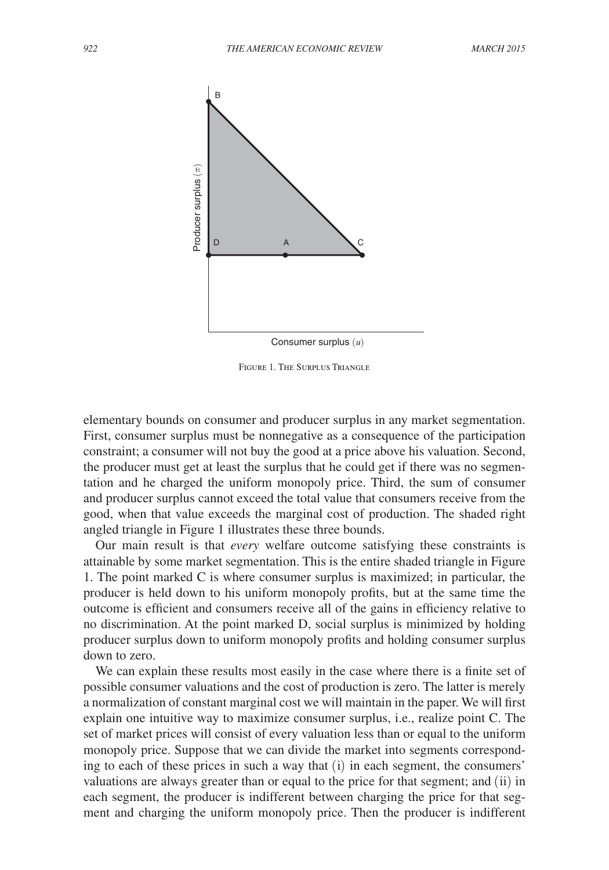<span id="page-1-0"></span>

Figure 1. The Surplus Triangle

elementary bounds on consumer and producer surplus in any market segmentation. First, consumer surplus must be nonnegative as a consequence of the participation constraint; a consumer will not buy the good at a price above his valuation. Second, the producer must get at least the surplus that he could get if there was no segmentation and he charged the uniform monopoly price. Third, the sum of consumer and producer surplus cannot exceed the total value that consumers receive from the good, when that value exceeds the marginal cost of production. The shaded right angled triangle in Figure 1 illustrates these three bounds.

Our main result is that *every* welfare outcome satisfying these constraints is attainable by some market segmentation. This is the entire shaded triangle in Figure 1. The point marked C is where consumer surplus is maximized; in particular, the producer is held down to his uniform monopoly profits, but at the same time the outcome is efficient and consumers receive all of the gains in efficiency relative to no discrimination. At the point marked D, social surplus is minimized by holding producer surplus down to uniform monopoly profits and holding consumer surplus down to zero.

We can explain these results most easily in the case where there is a finite set of possible consumer valuations and the cost of production is zero. The latter is merely a normalization of constant marginal cost we will maintain in the paper. We will first explain one intuitive way to maximize consumer surplus, i.e., realize point C. The set of market prices will consist of every valuation less than or equal to the uniform monopoly price. Suppose that we can divide the market into segments corresponding to each of these prices in such a way that (i) in each segment, the consumers' valuations are always greater than or equal to the price for that segment; and (ii) in each segment, the producer is indifferent between charging the price for that segment and charging the uniform monopoly price. Then the producer is indifferent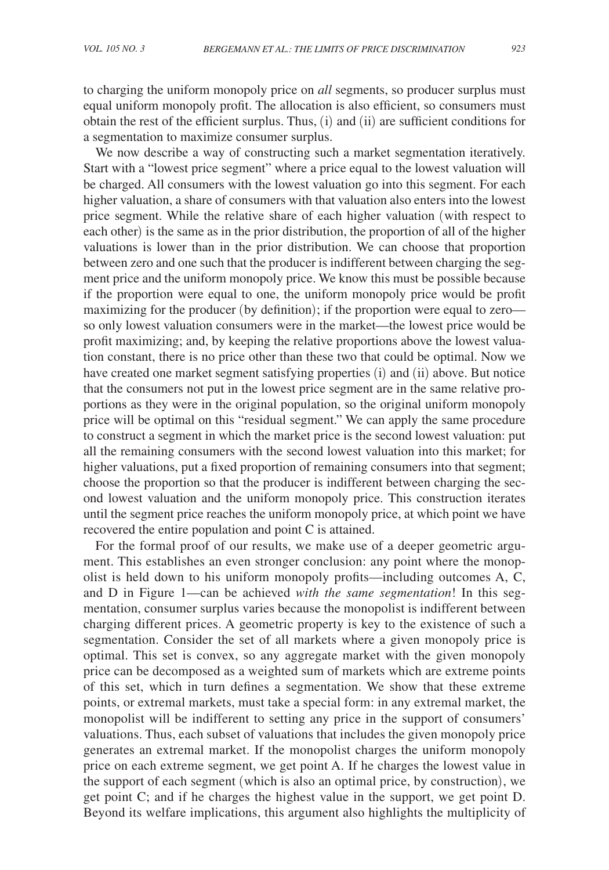to charging the uniform monopoly price on *all* segments, so producer surplus must equal uniform monopoly profit. The allocation is also efficient, so consumers must obtain the rest of the efficient surplus. Thus, (i) and (ii) are sufficient conditions for a segmentation to maximize consumer surplus.

We now describe a way of constructing such a market segmentation iteratively. Start with a "lowest price segment" where a price equal to the lowest valuation will be charged. All consumers with the lowest valuation go into this segment. For each higher valuation, a share of consumers with that valuation also enters into the lowest price segment. While the relative share of each higher valuation (with respect to each other) is the same as in the prior distribution, the proportion of all of the higher valuations is lower than in the prior distribution. We can choose that proportion between zero and one such that the producer is indifferent between charging the segment price and the uniform monopoly price. We know this must be possible because if the proportion were equal to one, the uniform monopoly price would be profit maximizing for the producer (by definition); if the proportion were equal to zero so only lowest valuation consumers were in the market—the lowest price would be profit maximizing; and, by keeping the relative proportions above the lowest valuation constant, there is no price other than these two that could be optimal. Now we have created one market segment satisfying properties (i) and (ii) above. But notice that the consumers not put in the lowest price segment are in the same relative proportions as they were in the original population, so the original uniform monopoly price will be optimal on this "residual segment." We can apply the same procedure to construct a segment in which the market price is the second lowest valuation: put all the remaining consumers with the second lowest valuation into this market; for higher valuations, put a fixed proportion of remaining consumers into that segment; choose the proportion so that the producer is indifferent between charging the second lowest valuation and the uniform monopoly price. This construction iterates until the segment price reaches the uniform monopoly price, at which point we have recovered the entire population and point C is attained.

For the formal proof of our results, we make use of a deeper geometric argument. This establishes an even stronger conclusion: any point where the monopolist is held down to his uniform monopoly profits—including outcomes A, C, and D in Figure 1—can be achieved *with the same segmentation*! In this segmentation, consumer surplus varies because the monopolist is indifferent between charging different prices. A geometric property is key to the existence of such a segmentation. Consider the set of all markets where a given monopoly price is optimal. This set is convex, so any aggregate market with the given monopoly price can be decomposed as a weighted sum of markets which are extreme points of this set, which in turn defines a segmentation. We show that these extreme points, or extremal markets, must take a special form: in any extremal market, the monopolist will be indifferent to setting any price in the support of consumers' valuations. Thus, each subset of valuations that includes the given monopoly price generates an extremal market. If the monopolist charges the uniform monopoly price on each extreme segment, we get point A. If he charges the lowest value in the support of each segment (which is also an optimal price, by construction), we get point C; and if he charges the highest value in the support, we get point D. Beyond its welfare implications, this argument also highlights the multiplicity of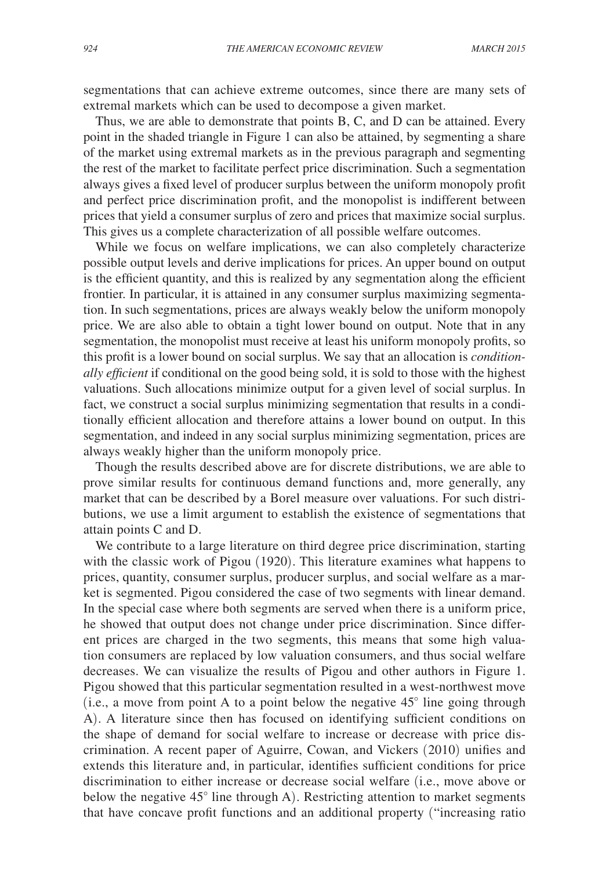segmentations that can achieve extreme outcomes, since there are many sets of extremal markets which can be used to decompose a given market.

Thus, we are able to demonstrate that points B, C, and D can be attained. Every point in the shaded triangle in Figure 1 can also be attained, by segmenting a share of the market using extremal markets as in the previous paragraph and segmenting the rest of the market to facilitate perfect price discrimination. Such a segmentation always gives a fixed level of producer surplus between the uniform monopoly profit and perfect price discrimination profit, and the monopolist is indifferent between prices that yield a consumer surplus of zero and prices that maximize social surplus. This gives us a complete characterization of all possible welfare outcomes.

While we focus on welfare implications, we can also completely characterize possible output levels and derive implications for prices. An upper bound on output is the efficient quantity, and this is realized by any segmentation along the efficient frontier. In particular, it is attained in any consumer surplus maximizing segmentation. In such segmentations, prices are always weakly below the uniform monopoly price. We are also able to obtain a tight lower bound on output. Note that in any segmentation, the monopolist must receive at least his uniform monopoly profits, so this profit is a lower bound on social surplus. We say that an allocation is *conditionally efficient* if conditional on the good being sold, it is sold to those with the highest valuations. Such allocations minimize output for a given level of social surplus. In fact, we construct a social surplus minimizing segmentation that results in a conditionally efficient allocation and therefore attains a lower bound on output. In this segmentation, and indeed in any social surplus minimizing segmentation, prices are always weakly higher than the uniform monopoly price.

Though the results described above are for discrete distributions, we are able to prove similar results for continuous demand functions and, more generally, any market that can be described by a Borel measure over valuations. For such distributions, we use a limit argument to establish the existence of segmentations that attain points C and D.

We contribute to a large literature on third degree price discrimination, starting with the classic work of Pigou (1920). This literature examines what happens to prices, quantity, consumer surplus, producer surplus, and social welfare as a market is segmented. Pigou considered the case of two segments with linear demand. In the special case where both segments are served when there is a uniform price, he showed that output does not change under price discrimination. Since different prices are charged in the two segments, this means that some high valuation consumers are replaced by low valuation consumers, and thus social welfare decreases. We can visualize the results of Pigou and other authors in Figure 1. Pigou showed that this particular segmentation resulted in a west-northwest move (i.e., a move from point A to a point below the negative  $45^{\circ}$  line going through A). A literature since then has focused on identifying sufficient conditions on the shape of demand for social welfare to increase or decrease with price discrimination. A recent paper of Aguirre, Cowan, and Vickers (2010) unifies and extends this literature and, in particular, identifies sufficient conditions for price discrimination to either increase or decrease social welfare (i.e., move above or below the negative 45° line through A). Restricting attention to market segments that have concave profit functions and an additional property ("increasing ratio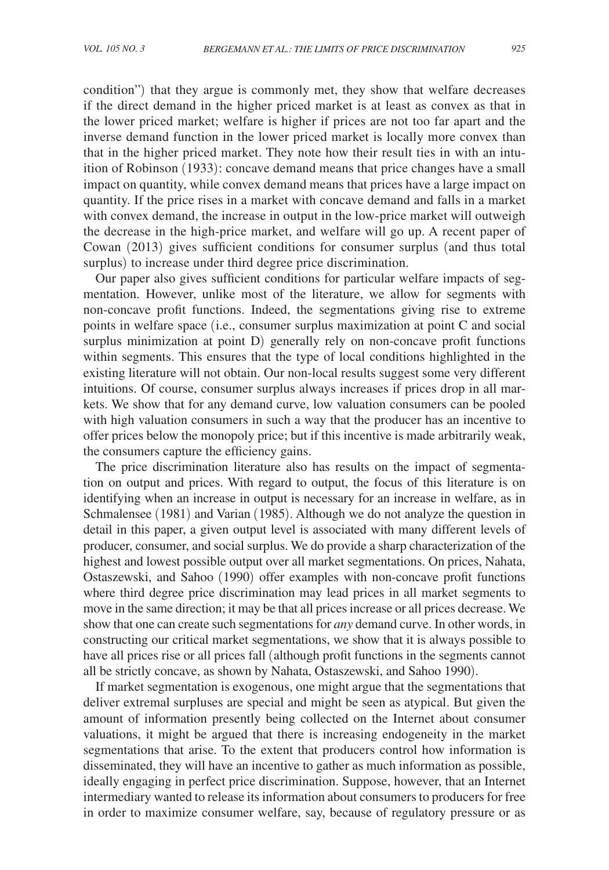condition") that they argue is commonly met, they show that welfare decreases if the direct demand in the higher priced market is at least as convex as that in the lower priced market; welfare is higher if prices are not too far apart and the inverse demand function in the lower priced market is locally more convex than that in the higher priced market. They note how their result ties in with an intuition of Robinson (1933): concave demand means that price changes have a small impact on quantity, while convex demand means that prices have a large impact on quantity. If the price rises in a market with concave demand and falls in a market with convex demand, the increase in output in the low-price market will outweigh the decrease in the high-price market, and welfare will go up. A recent paper of Cowan (2013) gives sufficient conditions for consumer surplus (and thus total surplus) to increase under third degree price discrimination.

Our paper also gives sufficient conditions for particular welfare impacts of segmentation. However, unlike most of the literature, we allow for segments with non-concave profit functions. Indeed, the segmentations giving rise to extreme points in welfare space (i.e., consumer surplus maximization at point C and social surplus minimization at point D) generally rely on non-concave profit functions within segments. This ensures that the type of local conditions highlighted in the existing literature will not obtain. Our non-local results suggest some very different intuitions. Of course, consumer surplus always increases if prices drop in all markets. We show that for any demand curve, low valuation consumers can be pooled with high valuation consumers in such a way that the producer has an incentive to offer prices below the monopoly price; but if this incentive is made arbitrarily weak, the consumers capture the efficiency gains.

The price discrimination literature also has results on the impact of segmentation on output and prices. With regard to output, the focus of this literature is on identifying when an increase in output is necessary for an increase in welfare, as in Schmalensee (1981) and Varian (1985). Although we do not analyze the question in detail in this paper, a given output level is associated with many different levels of producer, consumer, and social surplus. We do provide a sharp characterization of the highest and lowest possible output over all market segmentations. On prices, Nahata, Ostaszewski, and Sahoo (1990) offer examples with non-concave profit functions where third degree price discrimination may lead prices in all market segments to move in the same direction; it may be that all prices increase or all prices decrease. We show that one can create such segmentations for *any* demand curve. In other words, in constructing our critical market segmentations, we show that it is always possible to have all prices rise or all prices fall (although profit functions in the segments cannot all be strictly concave, as shown by Nahata, Ostaszewski, and Sahoo 1990).

If market segmentation is exogenous, one might argue that the segmentations that deliver extremal surpluses are special and might be seen as atypical. But given the amount of information presently being collected on the Internet about consumer valuations, it might be argued that there is increasing endogeneity in the market segmentations that arise. To the extent that producers control how information is disseminated, they will have an incentive to gather as much information as possible, ideally engaging in perfect price discrimination. Suppose, however, that an Internet intermediary wanted to release its information about consumers to producers for free in order to maximize consumer welfare, say, because of regulatory pressure or as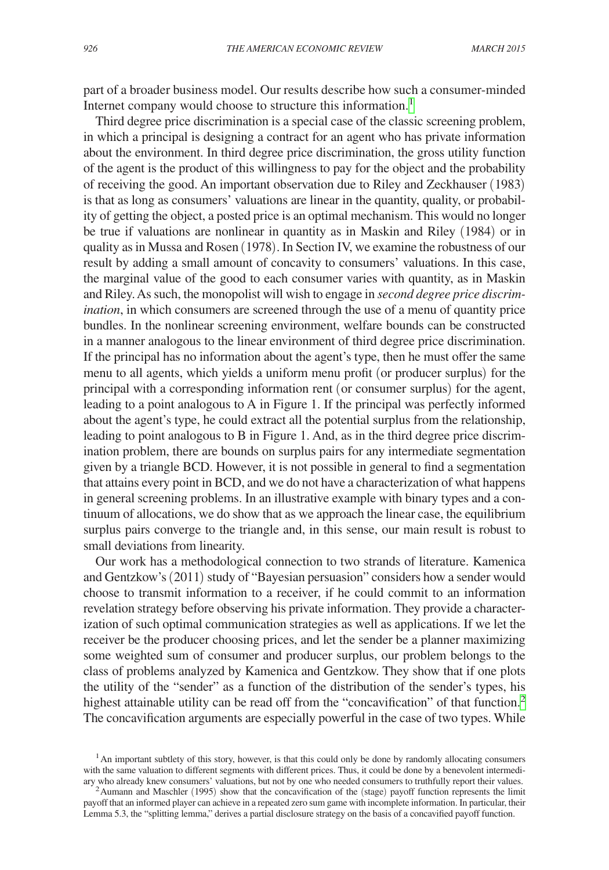part of a broader business model. Our results describe how such a consumer-minded Internet company would choose to structure this information.<sup>1</sup>

Third degree price discrimination is a special case of the classic screening problem, in which a principal is designing a contract for an agent who has private information about the environment. In third degree price discrimination, the gross utility function of the agent is the product of this willingness to pay for the object and the probability of receiving the good. An important observation due to Riley and Zeckhauser (1983) is that as long as consumers' valuations are linear in the quantity, quality, or probability of getting the object, a posted price is an optimal mechanism. This would no longer be true if valuations are nonlinear in quantity as in Maskin and Riley (1984) or in quality as in Mussa and Rosen (1978). In Section IV, we examine the robustness of our result by adding a small amount of concavity to consumers' valuations. In this case, the marginal value of the good to each consumer varies with quantity, as in Maskin and Riley. As such, the monopolist will wish to engage in *second degree price discrimination*, in which consumers are screened through the use of a menu of quantity price bundles. In the nonlinear screening environment, welfare bounds can be constructed in a manner analogous to the linear environment of third degree price discrimination. If the principal has no information about the agent's type, then he must offer the same menu to all agents, which yields a uniform menu profit (or producer surplus) for the principal with a corresponding information rent (or consumer surplus) for the agent, leading to a point analogous to A in Figure 1. If the principal was perfectly informed about the agent's type, he could extract all the potential surplus from the relationship, leading to point analogous to B in Figure 1. And, as in the third degree price discrimination problem, there are bounds on surplus pairs for any intermediate segmentation given by a triangle BCD. However, it is not possible in general to find a segmentation that attains every point in BCD, and we do not have a characterization of what happens in general screening problems. In an illustrative example with binary types and a continuum of allocations, we do show that as we approach the linear case, the equilibrium surplus pairs converge to the triangle and, in this sense, our main result is robust to small deviations from linearity.

Our work has a methodological connection to two strands of literature. Kamenica and Gentzkow's (2011) study of "Bayesian persuasion" considers how a sender would choose to transmit information to a receiver, if he could commit to an information revelation strategy before observing his private information. They provide a characterization of such optimal communication strategies as well as applications. If we let the receiver be the producer choosing prices, and let the sender be a planner maximizing some weighted sum of consumer and producer surplus, our problem belongs to the class of problems analyzed by Kamenica and Gentzkow. They show that if one plots the utility of the "sender" as a function of the distribution of the sender's types, his highest attainable utility can be read off from the "concavification" of that function.<sup>[2](#page-5-1)</sup> The concavification arguments are especially powerful in the case of two types. While

<span id="page-5-0"></span><sup>1</sup>An important subtlety of this story, however, is that this could only be done by randomly allocating consumers with the same valuation to different segments with different prices. Thus, it could be done by a benevolent intermedi-<br>ary who already knew consumers' valuations, but not by one who needed consumers to truthfully report th

<span id="page-5-1"></span><sup>&</sup>lt;sup>2</sup> Aumann and Maschler (1995) show that the concavification of the (stage) payoff function represents the limit payoff that an informed player can achieve in a repeated zero sum game with incomplete information. In particular, their Lemma 5.3, the "splitting lemma," derives a partial disclosure strategy on the basis of a concavified payoff function.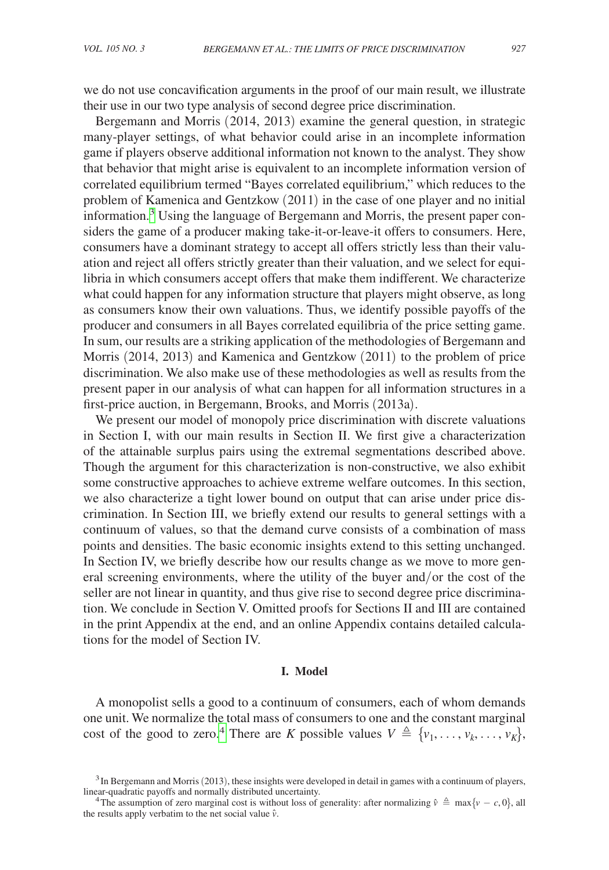we do not use concavification arguments in the proof of our main result, we illustrate their use in our two type analysis of second degree price discrimination.

Bergemann and Morris (2014, 2013) examine the general question, in strategic many-player settings, of what behavior could arise in an incomplete information game if players observe additional information not known to the analyst. They show that behavior that might arise is equivalent to an incomplete information version of correlated equilibrium termed "Bayes correlated equilibrium," which reduces to the problem of Kamenica and Gentzkow (2011) in the case of one player and no initial information.<sup>[3](#page-6-0)</sup> Using the language of Bergemann and Morris, the present paper considers the game of a producer making take-it-or-leave-it offers to consumers. Here, consumers have a dominant strategy to accept all offers strictly less than their valuation and reject all offers strictly greater than their valuation, and we select for equilibria in which consumers accept offers that make them indifferent. We characterize what could happen for any information structure that players might observe, as long as consumers know their own valuations. Thus, we identify possible payoffs of the producer and consumers in all Bayes correlated equilibria of the price setting game. In sum, our results are a striking application of the methodologies of Bergemann and Morris (2014, 2013) and Kamenica and Gentzkow (2011) to the problem of price discrimination. We also make use of these methodologies as well as results from the present paper in our analysis of what can happen for all information structures in a first-price auction, in Bergemann, Brooks, and Morris (2013a).

We present our model of monopoly price discrimination with discrete valuations in Section I, with our main results in Section II. We first give a characterization of the attainable surplus pairs using the extremal segmentations described above. Though the argument for this characterization is non-constructive, we also exhibit some constructive approaches to achieve extreme welfare outcomes. In this section, we also characterize a tight lower bound on output that can arise under price discrimination. In Section III, we briefly extend our results to general settings with a continuum of values, so that the demand curve consists of a combination of mass points and densities. The basic economic insights extend to this setting unchanged. In Section IV, we briefly describe how our results change as we move to more general screening environments, where the utility of the buyer and/or the cost of the seller are not linear in quantity, and thus give rise to second degree price discrimination. We conclude in Section V. Omitted proofs for Sections II and III are contained in the print Appendix at the end, and an online Appendix contains detailed calculations for the model of Section IV.

## **I. Model**

A monopolist sells a good to a continuum of consumers, each of whom demands one unit. We normalize the total mass of consumers to one and the constant marginal cost of the good to zero.<sup>4</sup> There are *K* possible values  $V \triangleq \{v_1, \ldots, v_k, \ldots, v_K\},\$ 

<span id="page-6-0"></span> $3$ In Bergemann and Morris (2013), these insights were developed in detail in games with a continuum of players, linear-quadratic payoffs and normally distributed uncertainty.

<span id="page-6-1"></span><sup>&</sup>lt;sup>4</sup>The assumption of zero marginal cost is without loss of generality: after normalizing  $\hat{v} \triangleq \max\{v - c, 0\}$ , all the results apply verbatim to the net social value *v*ˆ.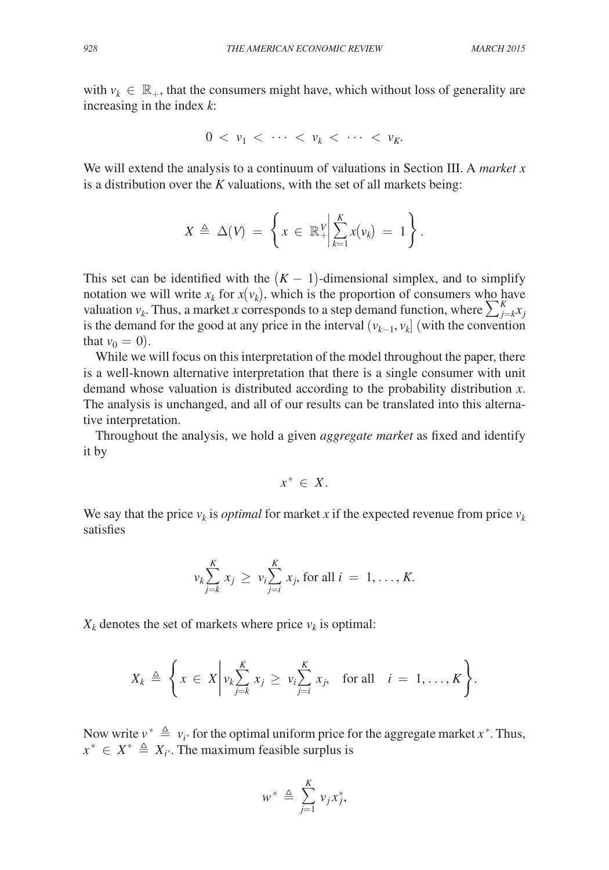with  $v_k \in \mathbb{R}_+$ , that the consumers might have, which without loss of generality are increasing in the index *k*:

$$
0 < v_1 < \cdots < v_k < \cdots < v_K.
$$

We will extend the analysis to a continuum of valuations in Section III. A *market x* is a distribution over the *K* valuations, with the set of all markets being:

$$
X \triangleq \Delta(V) = \left\{ x \in \mathbb{R}^V \middle| \sum_{k=1}^K x(v_k) = 1 \right\}.
$$

This set can be identified with the  $(K - 1)$ -dimensional simplex, and to simplify notation we will write  $x_k$  for  $x(v_k)$ , which is the proportion of consumers who have valuation  $v_k$ . Thus, a market *x* corresponds to a step demand function, where  $\sum_{j=k}^{K} x_j$ is the demand for the good at any price in the interval  $(v_{k-1}, v_k)$  (with the convention that  $v_0 = 0$ ).

While we will focus on this interpretation of the model throughout the paper, there is a well-known alternative interpretation that there is a single consumer with unit demand whose valuation is distributed according to the probability distribution *x*. The analysis is unchanged, and all of our results can be translated into this alternative interpretation.

Throughout the analysis, we hold a given *aggregate market* as fixed and identify it by

$$
x^* \in X.
$$

We say that the price  $v_k$  is *optimal* for market *x* if the expected revenue from price  $v_k$ satisfies

$$
v_k \sum_{j=k}^{K} x_j \ge v_i \sum_{j=i}^{K} x_j
$$
, for all  $i = 1, ..., K$ .

 $X_k$  denotes the set of markets where price  $v_k$  is optimal:

$$
X_k \triangleq \left\{ x \in X \middle| v_k \sum_{j=k}^K x_j \geq v_i \sum_{j=i}^K x_j, \text{ for all } i = 1, ..., K \right\}.
$$

Now write  $v^* \triangleq v_{i^*}$  for the optimal uniform price for the aggregate market  $x^*$ . Thus,  $x^* \in X^* \triangleq X_{i^*}$ . The maximum feasible surplus is

$$
w^* \triangleq \sum_{j=1}^K v_j x_j^*,
$$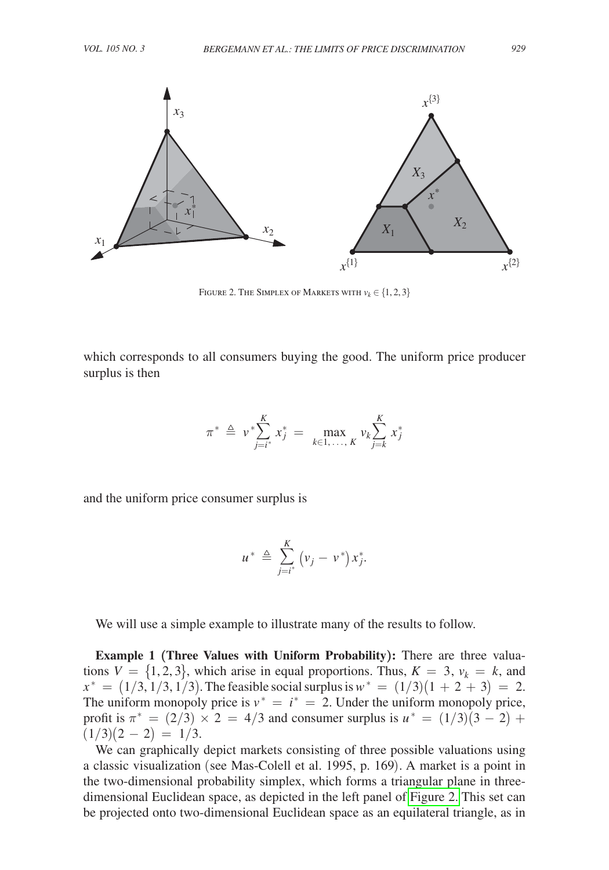

FIGURE 2. THE SIMPLEX OF MARKETS WITH  $v_k \in \{1, 2, 3\}$ 

which corresponds to all consumers buying the good. The uniform price producer surplus is then

$$
\pi^* \triangleq v^* \sum_{j=i^*}^K x_j^* = \max_{k \in 1, ..., K} v_k \sum_{j=k}^K x_j^*
$$

and the uniform price consumer surplus is

$$
u^* \triangleq \sum_{j=i^*}^K (v_j - v^*) x_j^*.
$$

We will use a simple example to illustrate many of the results to follow.

**Example 1 (Three Values with Uniform Probability):** There are three valuations  $V = \{1, 2, 3\}$ , which arise in equal proportions. Thus,  $K = 3$ ,  $v_k = k$ , and  $x^* = (1/3, 1/3, 1/3)$ . The feasible social surplus is  $w^* = (1/3)(1 + 2 + 3) = 2$ . The uniform monopoly price is  $v^* = i^* = 2$ . Under the uniform monopoly price, profit is  $\pi^* = (2/3) \times 2 = 4/3$  and consumer surplus is  $u^* = (1/3)(3 - 2) +$  $(1/3)(2 - 2) = 1/3.$ 

We can graphically depict markets consisting of three possible valuations using a classic visualization (see Mas-Colell et al. 1995, p. 169). A market is a point in the two-dimensional probability simplex, which forms a triangular plane in threedimensional Euclidean space, as depicted in the left panel of Figure 2. This set can be projected onto two-dimensional Euclidean space as an equilateral triangle, as in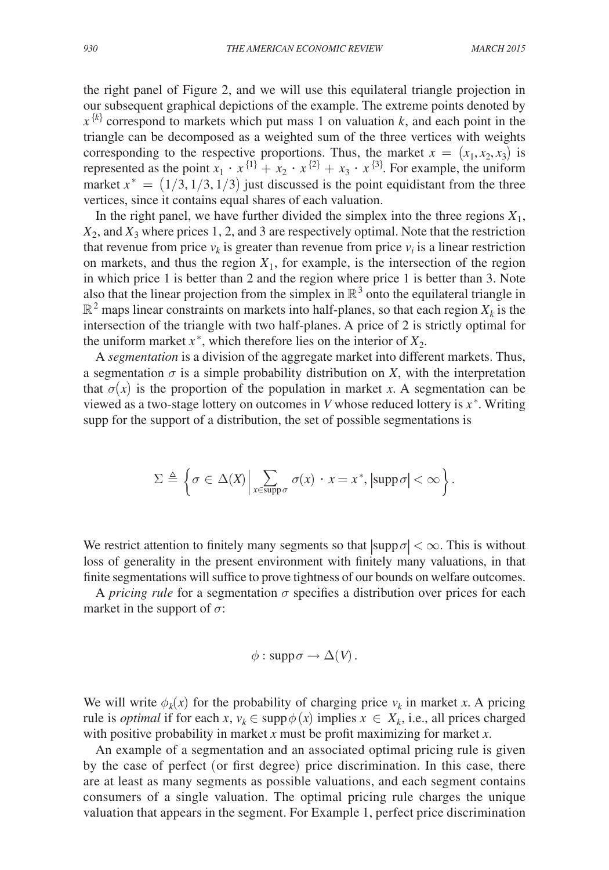the right panel of Figure 2, and we will use this equilateral triangle projection in our subsequent graphical depictions of the example. The extreme points denoted by  $x^{k}$  correspond to markets which put mass 1 on valuation *k*, and each point in the triangle can be decomposed as a weighted sum of the three vertices with weights corresponding to the respective proportions. Thus, the market  $x = (x_1, x_2, x_3)$  is represented as the point  $x_1 \cdot x^{\{1\}} + x_2 \cdot x^{\{2\}} + x_3 \cdot x^{\{3\}}$ . For example, the uniform market  $x^* = (1/3, 1/3, 1/3)$  just discussed is the point equidistant from the three vertices, since it contains equal shares of each valuation.

In the right panel, we have further divided the simplex into the three regions  $X_1$ ,  $X_2$ , and  $X_3$  where prices 1, 2, and 3 are respectively optimal. Note that the restriction that revenue from price  $v_k$  is greater than revenue from price  $v_i$  is a linear restriction on markets, and thus the region  $X_1$ , for example, is the intersection of the region in which price 1 is better than 2 and the region where price 1 is better than 3. Note also that the linear projection from the simplex in  $\mathbb{R}^3$  onto the equilateral triangle in  $\mathbb{R}^2$  maps linear constraints on markets into half-planes, so that each region  $X_k$  is the intersection of the triangle with two half-planes. A price of 2 is strictly optimal for the uniform market  $x^*$ , which therefore lies on the interior of  $X_2$ .

A *segmentation* is a division of the aggregate market into different markets. Thus, a segmentation  $\sigma$  is a simple probability distribution on *X*, with the interpretation that  $\sigma(x)$  is the proportion of the population in market *x*. A segmentation can be viewed as a two-stage lottery on outcomes in *V* whose reduced lottery is *x* <sup>∗</sup> . Writing supp for the support of a distribution, the set of possible segmentations is

$$
\Sigma \triangleq \left\{ \sigma \in \Delta(X) \, \Big| \, \sum_{x \in \text{supp}\,\sigma} \sigma(x) \, \cdot \, x = x^*, \, |\text{supp}\,\sigma| < \infty \right\}.
$$

We restrict attention to finitely many segments so that  $|\text{supp }\sigma| < \infty$ . This is without loss of generality in the present environment with finitely many valuations, in that finite segmentations will suffice to prove tightness of our bounds on welfare outcomes.

A *pricing rule* for a segmentation  $\sigma$  specifies a distribution over prices for each market in the support of  $\sigma$ :

$$
\phi: \operatorname{supp} \sigma \to \Delta(V) \, .
$$

We will write  $\phi_k(x)$  for the probability of charging price  $v_k$  in market *x*. A pricing rule is *optimal* if for each *x*,  $v_k \in \text{supp } \phi(x)$  implies  $x \in X_k$ , i.e., all prices charged with positive probability in market *x* must be profit maximizing for market *x*.

An example of a segmentation and an associated optimal pricing rule is given by the case of perfect (or first degree) price discrimination. In this case, there are at least as many segments as possible valuations, and each segment contains consumers of a single valuation. The optimal pricing rule charges the unique valuation that appears in the segment. For Example 1, perfect price discrimination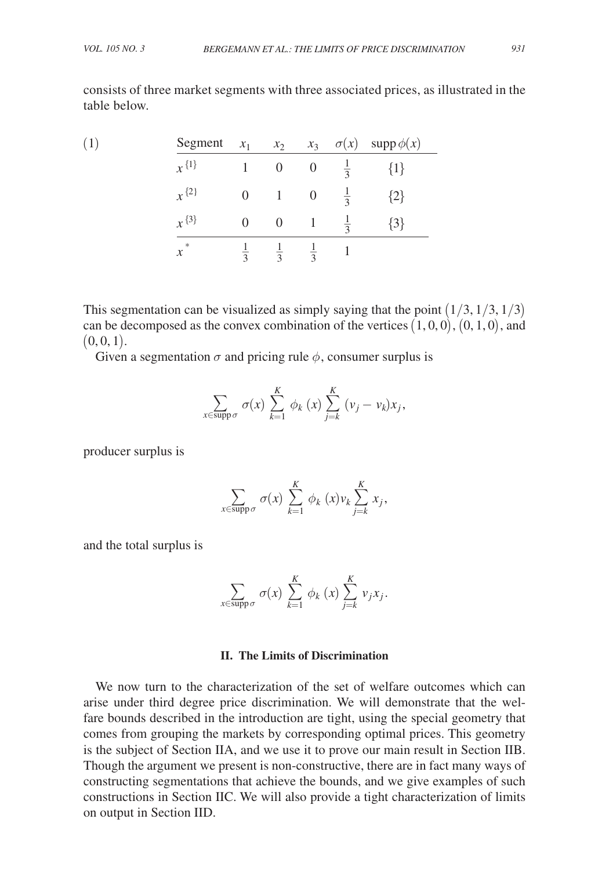consists of three market segments with three associated prices, as illustrated in the table below.

| (1) | Segment                              | $x_1$            | $x_2$            | $x_3$            | $\sigma(x)$   | $\text{supp}\,\phi(x)$ |  |
|-----|--------------------------------------|------------------|------------------|------------------|---------------|------------------------|--|
|     | $x^{\{1\}}$                          |                  | $\boldsymbol{0}$ | $\boldsymbol{0}$ | $rac{1}{3}$   | $1\}$                  |  |
|     | $x^{2}$                              | $\boldsymbol{0}$ |                  | $\boldsymbol{0}$ | $\frac{1}{3}$ | [2]                    |  |
|     | $x^{3}$                              | 0                | 0                |                  | $rac{1}{3}$   |                        |  |
|     | $\ast$<br>$\boldsymbol{\mathcal{X}}$ | $rac{1}{3}$      | $rac{1}{3}$      | $\frac{1}{3}$    |               |                        |  |

This segmentation can be visualized as simply saying that the point  $(1/3, 1/3, 1/3)$ can be decomposed as the convex combination of the vertices  $(1, 0, 0)$ ,  $(0, 1, 0)$ , and  $(0, 0, 1).$ 

Given a segmentation  $\sigma$  and pricing rule  $\phi$ , consumer surplus is

$$
\sum_{x \in \text{supp}\,\sigma} \sigma(x) \sum_{k=1}^K \phi_k(x) \sum_{j=k}^K (v_j - v_k) x_j,
$$

producer surplus is

$$
\sum_{x \in \text{supp}\,\sigma} \sigma(x) \sum_{k=1}^K \phi_k(x) v_k \sum_{j=k}^K x_j,
$$

and the total surplus is

$$
\sum_{x \in \text{supp}\,\sigma} \sigma(x) \sum_{k=1}^K \phi_k(x) \sum_{j=k}^K v_j x_j.
$$

# **II. The Limits of Discrimination**

We now turn to the characterization of the set of welfare outcomes which can arise under third degree price discrimination. We will demonstrate that the welfare bounds described in the introduction are tight, using the special geometry that comes from grouping the markets by corresponding optimal prices. This geometry is the subject of Section IIA, and we use it to prove our main result in Section IIB. Though the argument we present is non-constructive, there are in fact many ways of constructing segmentations that achieve the bounds, and we give examples of such constructions in Section IIC. We will also provide a tight characterization of limits on output in Section IID.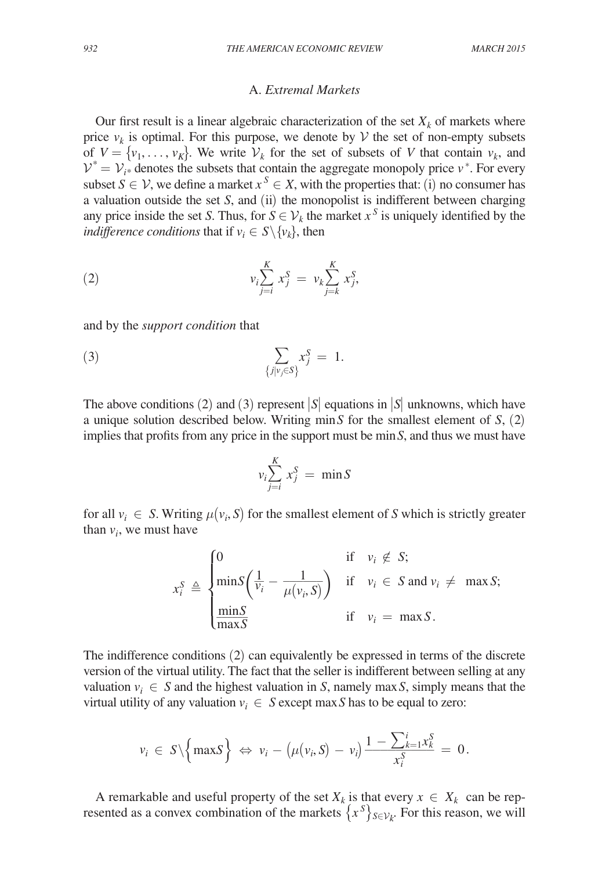## A. *Extremal Markets*

Our first result is a linear algebraic characterization of the set  $X_k$  of markets where price  $v_k$  is optimal. For this purpose, we denote by  $V$  the set of non-empty subsets of  $V = \{v_1, \ldots, v_K\}$ . We write  $V_k$  for the set of subsets of *V* that contain  $v_k$ , and  $V^* = V_{i^*}$  denotes the subsets that contain the aggregate monopoly price *v*<sup>\*</sup>. For every subset  $S \in \mathcal{V}$ , we define a market  $x^S \in X$ , with the properties that: (i) no consumer has a valuation outside the set *S*, and (ii) the monopolist is indifferent between charging any price inside the set *S*. Thus, for  $S \in V_k$  the market  $x^S$  is uniquely identified by the *indifference conditions* that if  $v_i \in S \setminus \{v_k\}$ , then

(2) 
$$
v_i \sum_{j=i}^K x_j^S = v_k \sum_{j=k}^K x_j^S,
$$

and by the *support condition* that

$$
\sum_{\{j|v_j\in S\}} x_j^S = 1.
$$

The above conditions (2) and (3) represent  $|S|$  equations in  $|S|$  unknowns, which have a unique solution described below. Writing min*S* for the smallest element of *S*, (2) implies that profits from any price in the support must be min*S*, and thus we must have

$$
v_i \sum_{j=i}^K x_j^S = \min S
$$

for all  $v_i \in S$ . Writing  $\mu(v_i, S)$  for the smallest element of *S* which is strictly greater than  $v_i$ , we must have

$$
x_i^S \triangleq \begin{cases} 0 & \text{if } v_i \notin S; \\ \min S\left(\frac{1}{v_i} - \frac{1}{\mu(v_i, S)}\right) & \text{if } v_i \in S \text{ and } v_i \neq \max S; \\ \frac{\min S}{\max S} & \text{if } v_i = \max S. \end{cases}
$$

The indifference conditions (2) can equivalently be expressed in terms of the discrete version of the virtual utility. The fact that the seller is indifferent between selling at any valuation  $v_i \in S$  and the highest valuation in *S*, namely max *S*, simply means that the virtual utility of any valuation  $v_i \in S$  except max S has to be equal to zero:

$$
v_i \in S \setminus \left\{ \max S \right\} \Leftrightarrow v_i - \left( \mu(v_i, S) - v_i \right) \frac{1 - \sum_{k=1}^i x_k^S}{x_i^S} = 0.
$$

A remarkable and useful property of the set  $X_k$  is that every  $x \in X_k$  can be represented as a convex combination of the markets  $\{x^S\}_{S\in\mathcal{V}_k}$ . For this reason, we will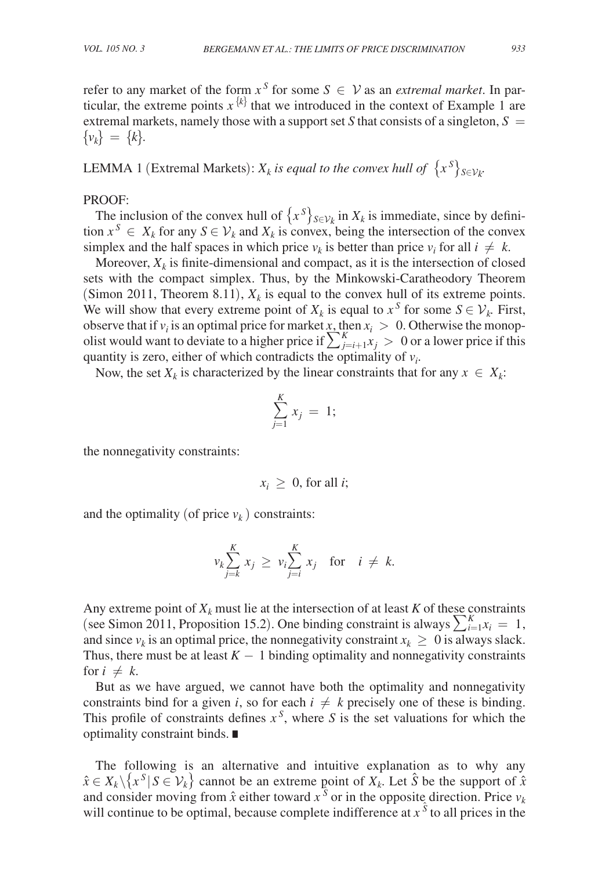refer to any market of the form  $x^S$  for some  $S \in \mathcal{V}$  as an *extremal market*. In particular, the extreme points  $x^{k}$  that we introduced in the context of Example 1 are extremal markets, namely those with a support set *S* that consists of a singleton,  $S =$  $\{v_k\} = \{k\}.$ 

LEMMA 1 (Extremal Markets):  $X_k$  *is equal to the convex hull of*  $\{x^S\}_{S \in \mathcal{V}_k}$ .

# Proof:

The inclusion of the convex hull of  $\{x^S\}_{S \in \mathcal{V}_k}$  in  $X_k$  is immediate, since by definition  $x^S \in X_k$  for any  $S \in V_k$  and  $X_k$  is convex, being the intersection of the convex simplex and the half spaces in which price  $v_k$  is better than price  $v_i$  for all  $i \neq k$ .

Moreover,  $X_k$  is finite-dimensional and compact, as it is the intersection of closed sets with the compact simplex. Thus, by the Minkowski-Caratheodory Theorem (Simon 2011, Theorem 8.11),  $X_k$  is equal to the convex hull of its extreme points. We will show that every extreme point of  $X_k$  is equal to  $x^S$  for some  $S \in \mathcal{V}_k$ . First, observe that if  $v_i$  is an optimal price for market *x*, then  $x_i > 0$ . Otherwise the monopolist would want to deviate to a higher price if  $\sum_{j=i+1}^{K} x_j > 0$  or a lower price if this quantity is zero, either of which contradicts the optimality of *vi* .

Now, the set  $X_k$  is characterized by the linear constraints that for any  $x \in X_k$ :

$$
\sum_{j=1}^K x_j = 1;
$$

the nonnegativity constraints:

$$
x_i \geq 0
$$
, for all *i*;

and the optimality (of price  $v_k$ ) constraints:

$$
\nu_k \sum_{j=k}^K x_j \ge \nu_i \sum_{j=i}^K x_j \quad \text{for} \quad i \ne k.
$$

Any extreme point of  $X_k$  must lie at the intersection of at least  $K$  of these constraints (see Simon 2011, Proposition 15.2). One binding constraint is always  $\sum_{i=1}^{K} x_i = 1$ , and since  $v_k$  is an optimal price, the nonnegativity constraint  $x_k \geq 0$  is always slack. Thus, there must be at least  $K - 1$  binding optimality and nonnegativity constraints for  $i \neq k$ .

But as we have argued, we cannot have both the optimality and nonnegativity constraints bind for a given *i*, so for each  $i \neq k$  precisely one of these is binding. This profile of constraints defines  $x^S$ , where *S* is the set valuations for which the optimality constraint binds. ∎

The following is an alternative and intuitive explanation as to why any  $\hat{x} \in X_k \setminus \{x^S | S \in V_k\}$  cannot be an extreme point of  $X_k$ . Let  $\hat{S}$  be the support of  $\hat{x}$ and consider moving from  $\hat{x}$  either toward  $x^{\hat{S}}$  or in the opposite direction. Price  $v_k$ will continue to be optimal, because complete indifference at  $x^{\hat{s}}$  to all prices in the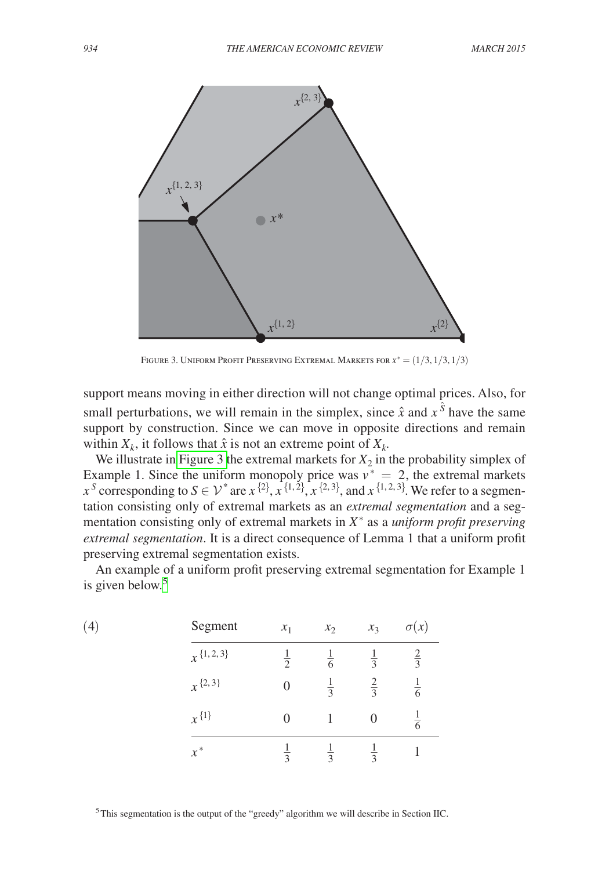

Figure 3. Uniform Profit Preserving Extremal Markets for *x*<sup>∗</sup> = (1/3, 1/3, 1/3)

support means moving in either direction will not change optimal prices. Also, for small perturbations, we will remain in the simplex, since  $\hat{x}$  and  $x^{\hat{S}}$  have the same support by construction. Since we can move in opposite directions and remain within  $X_k$ , it follows that  $\hat{x}$  is not an extreme point of  $X_k$ .

We illustrate in Figure 3 the extremal markets for  $X_2$  in the probability simplex of Example 1. Since the uniform monopoly price was  $v^* = 2$ , the extremal markets  $x^S$  corresponding to  $S \in \mathcal{V}^*$  are  $x^{\{2\}}$ ,  $\overline{x}^{\{1,2\}}$ ,  $\overline{x}^{\{2,3\}}$ , and  $x^{\{1,2,3\}}$ . We refer to a segmentation consisting only of extremal markets as an *extremal segmentation* and a segmentation consisting only of extremal markets in *X*<sup>∗</sup> as a *uniform profit preserving extremal segmentation*. It is a direct consequence of Lemma 1 that a uniform profit preserving extremal segmentation exists.

An example of a uniform profit preserving extremal segmentation for Example 1 is given below.<sup>5</sup>

| (4) | Segment         | $x_1$         | $x_2$          | $x_3$         | $\sigma(x)$    |
|-----|-----------------|---------------|----------------|---------------|----------------|
|     | $x^{\{1,2,3\}}$ | $\frac{1}{2}$ | $\overline{6}$ | $\frac{1}{3}$ | $rac{2}{3}$    |
|     | $x^{2,3}$       | 0             | $\frac{1}{3}$  | $rac{2}{3}$   | $\frac{1}{6}$  |
|     | $x^{\{1\}}$     | 0             |                |               | $\overline{6}$ |
|     | $x^*$           | $rac{1}{3}$   | $\frac{1}{3}$  | $rac{1}{3}$   |                |

<span id="page-13-0"></span>5This segmentation is the output of the "greedy" algorithm we will describe in Section IIC.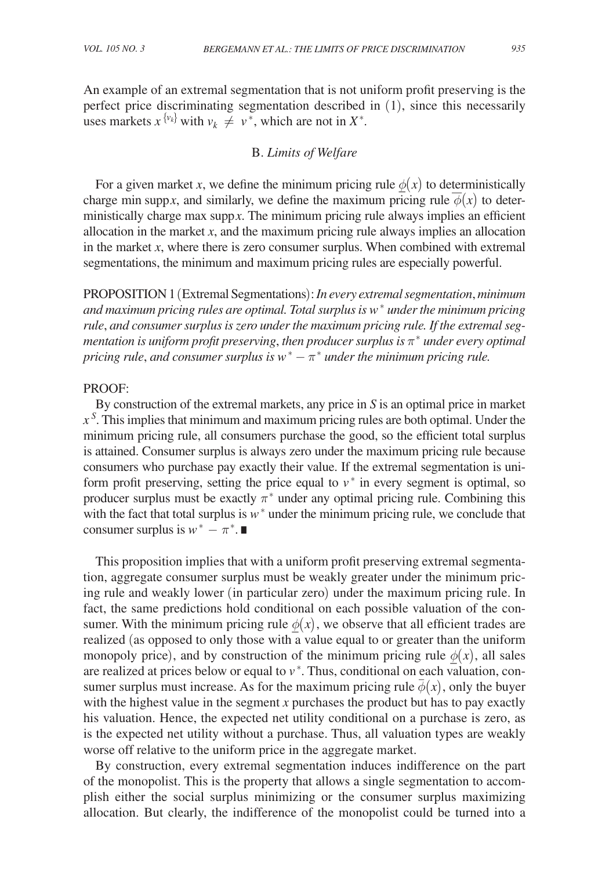An example of an extremal segmentation that is not uniform profit preserving is the perfect price discriminating segmentation described in (1), since this necessarily uses markets  $x^{\{v_k\}}$  with  $v_k \neq v^*$ , which are not in  $X^*$ .

## B. *Limits of Welfare*

For a given market *x*, we define the minimum pricing rule  $\phi(x)$  to deterministically For a given market *x*, we define the minimum pricing rule  $\phi(x)$  to deterministically charge min supp*x*, and similarly, we define the maximum pricing rule  $\overline{\phi}(x)$  to deterministically charge max supp*x*. The minimum pricing rule always implies an efficient allocation in the market  $x$ , and the maximum pricing rule always implies an allocation in the market *x*, where there is zero consumer surplus. When combined with extremal segmentations, the minimum and maximum pricing rules are especially powerful.

Proposition 1 (Extremal Segmentations): *In every extremal segmentation*, *minimum and maximum pricing rules are optimal. Total surplus is w*<sup>∗</sup>  *under the minimum pricing rule*, *and consumer surplus is zero under the maximum pricing rule. If the extremal segmentation is uniform profit preserving*, *then producer surplus is* π<sup>∗</sup>  *under every optimal pricing rule*, *and consumer surplus is w*<sup>∗</sup> − π<sup>∗</sup>  *under the minimum pricing rule.*

# PROOF:

By construction of the extremal markets, any price in *S* is an optimal price in market *x S* . This implies that minimum and maximum pricing rules are both optimal. Under the minimum pricing rule, all consumers purchase the good, so the efficient total surplus is attained. Consumer surplus is always zero under the maximum pricing rule because consumers who purchase pay exactly their value. If the extremal segmentation is uniform profit preserving, setting the price equal to  $v^*$  in every segment is optimal, so producer surplus must be exactly  $\pi^*$  under any optimal pricing rule. Combining this with the fact that total surplus is  $w^*$  under the minimum pricing rule, we conclude that consumer surplus is  $w^* - \pi^*$ .

This proposition implies that with a uniform profit preserving extremal segmentation, aggregate consumer surplus must be weakly greater under the minimum pricing rule and weakly lower (in particular zero) under the maximum pricing rule. In fact, the same predictions hold conditional on each possible valuation of the consumer. With the minimum pricing rule  $\phi(x)$ , we observe that all efficient trades are realized (as opposed to only those with a value equal to or greater than the uniform monopoly price), and by construction of the minimum pricing rule  $\phi(x)$ , all sales are realized at prices below or equal to  $v^*$ . Thus, conditional on each valuation, consumer surplus must increase. As for the maximum pricing rule  $\overline{\phi}(x)$ , only the buyer with the highest value in the segment *x* purchases the product but has to pay exactly his valuation. Hence, the expected net utility conditional on a purchase is zero, as is the expected net utility without a purchase. Thus, all valuation types are weakly worse off relative to the uniform price in the aggregate market.

By construction, every extremal segmentation induces indifference on the part of the monopolist. This is the property that allows a single segmentation to accomplish either the social surplus minimizing or the consumer surplus maximizing allocation. But clearly, the indifference of the monopolist could be turned into a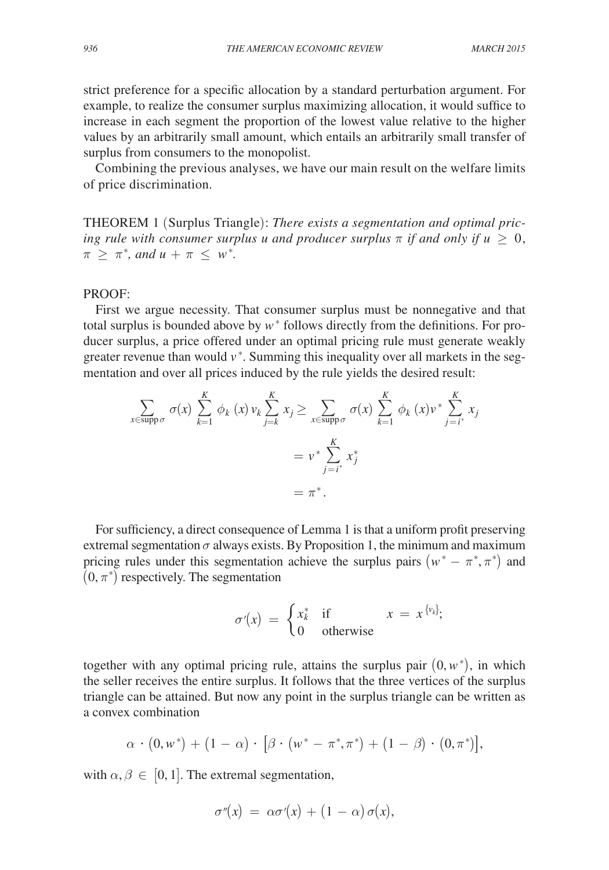strict preference for a specific allocation by a standard perturbation argument. For example, to realize the consumer surplus maximizing allocation, it would suffice to increase in each segment the proportion of the lowest value relative to the higher values by an arbitrarily small amount, which entails an arbitrarily small transfer of surplus from consumers to the monopolist.

Combining the previous analyses, we have our main result on the welfare limits of price discrimination.

THEOREM 1 (Surplus Triangle): There exists a segmentation and optimal pric*ing rule with consumer surplus u and producer surplus*  $\pi$  *if and only if*  $u \geq 0$ ,  $\pi \geq \pi^*$ *, and*  $u + \pi \leq w^*$ *.* 

# PROOF<sup>.</sup>

First we argue necessity. That consumer surplus must be nonnegative and that total surplus is bounded above by  $w^*$  follows directly from the definitions. For producer surplus, a price offered under an optimal pricing rule must generate weakly greater revenue than would  $v^*$ . Summing this inequality over all markets in the segmentation and over all prices induced by the rule yields the desired result:

$$
\sum_{x \in \text{supp}\sigma} \sigma(x) \sum_{k=1}^{K} \phi_k(x) v_k \sum_{j=k}^{K} x_j \ge \sum_{x \in \text{supp}\sigma} \sigma(x) \sum_{k=1}^{K} \phi_k(x) v^* \sum_{j=i^*}^{K} x_j
$$

$$
= v^* \sum_{j=i^*}^{K} x_j^*
$$

$$
= \pi^*.
$$

For sufficiency, a direct consequence of Lemma 1 is that a uniform profit preserving extremal segmentation  $\sigma$  always exists. By Proposition 1, the minimum and maximum pricing rules under this segmentation achieve the surplus pairs  $(w^* - \pi^*, \pi^*)$  and  $(0, \pi^*)$  respectively. The segmentation

$$
\sigma'(x) = \begin{cases} x_k^* & \text{if } x = x^{\{v_k\}}; \\ 0 & \text{otherwise} \end{cases}
$$

together with any optimal pricing rule, attains the surplus pair  $(0, w^*)$ , in which the seller receives the entire surplus. It follows that the three vertices of the surplus triangle can be attained. But now any point in the surplus triangle can be written as a convex combination

$$
\alpha \, \cdot \, (0, w^*) \, + \, \big( 1 \, - \, \alpha \big) \, \cdot \, \big[ \beta \cdot \big( w^* - \pi^*, \pi^* \big) \, + \, \big( 1 \, - \, \beta \big) \cdot \big( 0, \pi^* \big) \big],
$$

with  $\alpha, \beta \in [0, 1]$ . The extremal segmentation,

$$
\sigma''(x) ~=~ \alpha\sigma'(x) ~+~ (1 ~-~ \alpha) \,\sigma(x),
$$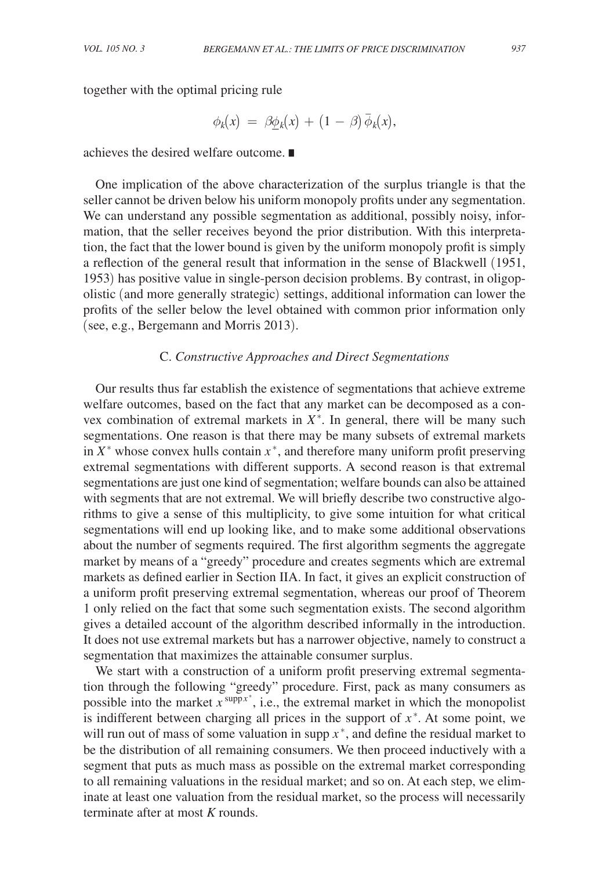together with the optimal pricing rule

$$
\phi_k(x) = \beta \underline{\phi}_k(x) + (1 - \beta) \overline{\phi}_k(x),
$$

achieves the desired welfare outcome. ∎

One implication of the above characterization of the surplus triangle is that the seller cannot be driven below his uniform monopoly profits under any segmentation. We can understand any possible segmentation as additional, possibly noisy, information, that the seller receives beyond the prior distribution. With this interpretation, the fact that the lower bound is given by the uniform monopoly profit is simply a reflection of the general result that information in the sense of Blackwell (1951, 1953) has positive value in single-person decision problems. By contrast, in oligopolistic (and more generally strategic) settings, additional information can lower the profits of the seller below the level obtained with common prior information only (see, e.g., Bergemann and Morris 2013).

## C. *Constructive Approaches and Direct Segmentations*

Our results thus far establish the existence of segmentations that achieve extreme welfare outcomes, based on the fact that any market can be decomposed as a convex combination of extremal markets in  $X^*$ . In general, there will be many such segmentations. One reason is that there may be many subsets of extremal markets in  $X^*$  whose convex hulls contain  $x^*$ , and therefore many uniform profit preserving extremal segmentations with different supports. A second reason is that extremal segmentations are just one kind of segmentation; welfare bounds can also be attained with segments that are not extremal. We will briefly describe two constructive algorithms to give a sense of this multiplicity, to give some intuition for what critical segmentations will end up looking like, and to make some additional observations about the number of segments required. The first algorithm segments the aggregate market by means of a "greedy" procedure and creates segments which are extremal markets as defined earlier in Section IIA. In fact, it gives an explicit construction of a uniform profit preserving extremal segmentation, whereas our proof of Theorem 1 only relied on the fact that some such segmentation exists. The second algorithm gives a detailed account of the algorithm described informally in the introduction. It does not use extremal markets but has a narrower objective, namely to construct a segmentation that maximizes the attainable consumer surplus.

We start with a construction of a uniform profit preserving extremal segmentation through the following "greedy" procedure. First, pack as many consumers as possible into the market  $x^{\text{supp} x^*}$ , i.e., the extremal market in which the monopolist is indifferent between charging all prices in the support of  $x^*$ . At some point, we will run out of mass of some valuation in supp  $x^*$ , and define the residual market to be the distribution of all remaining consumers. We then proceed inductively with a segment that puts as much mass as possible on the extremal market corresponding to all remaining valuations in the residual market; and so on. At each step, we eliminate at least one valuation from the residual market, so the process will necessarily terminate after at most *K* rounds.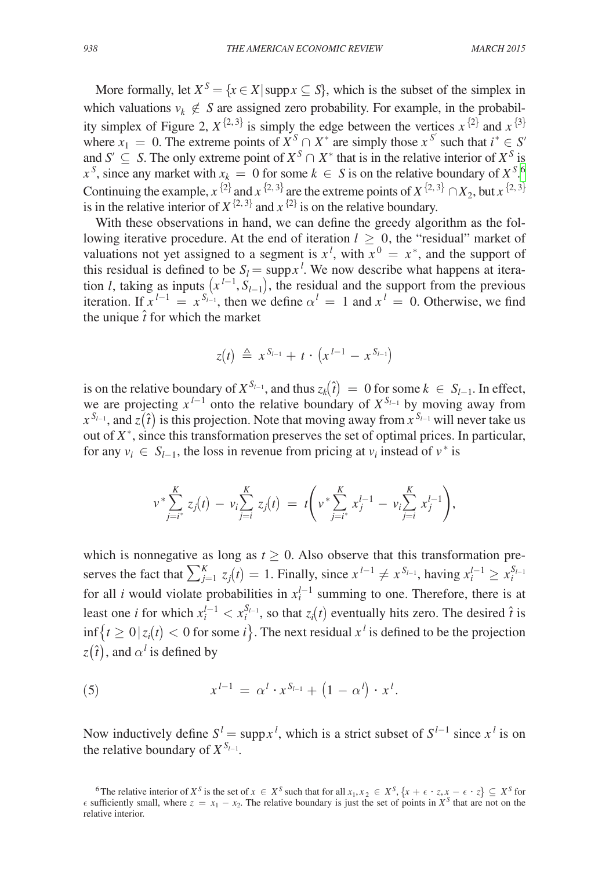More formally, let  $X^S = \{x \in X | \text{supp}\}\ \subseteq S\}$ , which is the subset of the simplex in which valuations  $v_k \notin S$  are assigned zero probability. For example, in the probability simplex of Figure 2,  $X^{\{2,3\}}$  is simply the edge between the vertices  $x^{\{2\}}$  and  $x^{\{3\}}$ where  $x_1 = 0$ . The extreme points of  $X^S \cap X^*$  are simply those  $x^{S'}$  such that  $i^* \in S'$ and  $S' \subseteq S$ . The only extreme point of  $X^S \cap X^*$  that is in the relative interior of  $X^S$  is  $x^S$ , since any market with  $x_k = 0$  for some  $k \in S$  is on the relative boundary of  $X^S$ . Continuing the example, *x* <sup>{2}</sup> and *x* <sup>{2, 3}</sup> are the extreme points of *X* <sup>{2, 3}</sup> ∩*X*<sub>2</sub>, but *x* <sup>{2, 3}</sup> is in the relative interior of  $X^{\{2,3\}}$  and  $x^{\{2\}}$  is on the relative boundary.

With these observations in hand, we can define the greedy algorithm as the following iterative procedure. At the end of iteration  $l \geq 0$ , the "residual" market of valuations not yet assigned to a segment is  $x^l$ , with  $x^0 = x^*$ , and the support of this residual is defined to be  $S_l = \text{supp} x^l$ . We now describe what happens at iteration *l*, taking as inputs  $(x^{l-1}, S_{l-1})$ , the residual and the support from the previous iteration. If  $x^{l-1} = x^{S_{l-1}}$ , then we define  $\alpha^l = 1$  and  $x^l = 0$ . Otherwise, we find the unique  $\hat{t}$  for which the market

$$
z(t) ~\triangleq~ x^{\, S_{l-1}} + t \, \cdot \, \big( x^{\, l-1} \, - \, x^{\, S_{l-1}} \big)
$$

is on the relative boundary of  $X^{S_{l-1}}$ , and thus  $z_k(\hat{t}) = 0$  for some  $k \in S_{l-1}$ . In effect, we are projecting  $x^{l-1}$  onto the relative boundary of  $X^{S_{l-1}}$  by moving away from  $x^{S_{l-1}}$ , and  $z(\hat{t})$  is this projection. Note that moving away from  $x^{S_{l-1}}$  will never take us out of  $X^*$ , since this transformation preserves the set of optimal prices. In particular, for any  $v_i \in S_{l-1}$ , the loss in revenue from pricing at  $v_i$  instead of  $v^*$  is

$$
v^* \sum_{j=i^*}^K z_j(t) - v_i \sum_{j=i}^K z_j(t) = t \left( v^* \sum_{j=i^*}^K x_j^{l-1} - v_i \sum_{j=i}^K x_j^{l-1} \right),
$$

which is nonnegative as long as  $t \geq 0$ . Also observe that this transformation preserves the fact that  $\sum_{j=1}^{K} z_j(t) = 1$ . Finally, since  $x^{l-1} \neq x^{S_{l-1}}$ , having  $x_i^{l-1} \ge x_i^{S_{l-1}}$ for all *i* would violate probabilities in  $x_i^{l-1}$  summing to one. Therefore, there is at least one *i* for which  $x_i^{l-1} < x_i^{S_{l-1}}$ , so that  $z_i(t)$  eventually hits zero. The desired  $\hat{t}$  is  $\inf\{t \geq 0 | z_i(t) < 0$  for some  $i\}$ . The next residual  $x^i$  is defined to be the projection  $z(\hat{t})$ , and  $\alpha^l$  is defined by

(5) 
$$
x^{l-1} = \alpha^l \cdot x^{S_{l-1}} + (1 - \alpha^l) \cdot x^l.
$$

Now inductively define  $S^l$  = supp $x^l$ , which is a strict subset of  $S^{l-1}$  since  $x^l$  is on the relative boundary of  $X^{S_{l-1}}$ .

<span id="page-17-0"></span><sup>&</sup>lt;sup>6</sup>The relative interior of  $X^S$  is the set of  $x \in X^S$  such that for all  $x_1, x_2 \in X^S$ ,  $\{x + \epsilon \cdot z, x - \epsilon \cdot z\} \subseteq X^S$  for  $\epsilon$  sufficiently small, where  $z = x_1 - x_2$ . The relative boundary is just the set of points in  $X^S$ relative interior.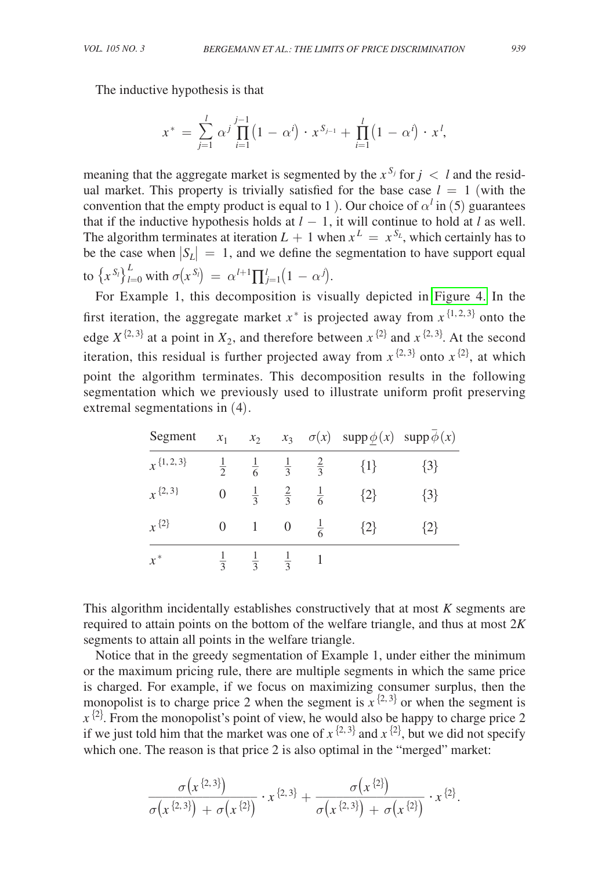The inductive hypothesis is that

$$
x^* \,=\, \sum_{j=1}^l\,\alpha^j\prod_{i=1}^{j-1} \big(1\,-\,\alpha^i\big)\,\cdot\, x^{S_{j-1}} + \prod_{i=1}^l \big(1\,-\,\alpha^i\big)\,\cdot\, x^l,
$$

meaning that the aggregate market is segmented by the  $x^{S_j}$  for  $j < l$  and the residual market. This property is trivially satisfied for the base case  $l = 1$  (with the convention that the empty product is equal to 1). Our choice of  $\alpha^l$  in (5) guarantees that if the inductive hypothesis holds at  $l - 1$ , it will continue to hold at *l* as well. The algorithm terminates at iteration  $L + 1$  when  $x^L = x^{S_L}$ , which certainly has to be the case when  $|S_L| = 1$ , and we define the segmentation to have support equal to  $\{x^{S_i}\}_{i=0}^L$  with  $\sigma(x^{S_i}) = \alpha^{l+1} \prod_{j=1}^l (1 - \alpha^j)$ .

For Example 1, this decomposition is visually depicted in [Figure 4.](#page-19-0) In the first iteration, the aggregate market  $x^*$  is projected away from  $x^{\{1,2,3\}}$  onto the edge  $X^{\{2,3\}}$  at a point in  $X_2$ , and therefore between  $x^{\{2\}}$  and  $x^{\{2,3\}}$ . At the second iteration, this residual is further projected away from  $x^{\{2,3\}}$  onto  $x^{\{2\}}$ , at which point the algorithm terminates. This decomposition results in the following segmentation which we previously used to illustrate uniform profit preserving extremal segmentations in (4).

| Segment         | $x_1$         | $x_2$         | $x_3$          |               | $\sigma(x)$ supp $\phi(x)$ supp $\overline{\phi}(x)$ |         |
|-----------------|---------------|---------------|----------------|---------------|------------------------------------------------------|---------|
| $x^{\{1,2,3\}}$ | $\frac{1}{2}$ | $rac{1}{6}$   | $\frac{1}{3}$  | $\frac{2}{3}$ | $\{1\}$                                              | $\{3\}$ |
| $x^{\{2,3\}}$   | 0             | $\frac{1}{3}$ | $\frac{2}{3}$  | $\frac{1}{6}$ | ${2}$                                                | $\{3\}$ |
| $x^{2}$         | 0             |               | $\overline{0}$ | $\frac{1}{6}$ | $\{2\}$                                              | $\{2\}$ |
| $x^*$           | $rac{1}{3}$   | $\frac{1}{3}$ | $rac{1}{3}$    |               |                                                      |         |

This algorithm incidentally establishes constructively that at most *K* segments are required to attain points on the bottom of the welfare triangle, and thus at most 2*K* segments to attain all points in the welfare triangle.

Notice that in the greedy segmentation of Example 1, under either the minimum or the maximum pricing rule, there are multiple segments in which the same price is charged. For example, if we focus on maximizing consumer surplus, then the monopolist is to charge price 2 when the segment is  $x^{\{2,3\}}$  or when the segment is  $x^{2}$ . From the monopolist's point of view, he would also be happy to charge price 2 if we just told him that the market was one of  $x^{\{2,3\}}$  and  $x^{\{2\}}$ , but we did not specify which one. The reason is that price 2 is also optimal in the "merged" market:

$$
\frac{\sigma(x^{\{2,3\}})}{\sigma(x^{\{2,3\}})+\sigma(x^{\{2\}})} \cdot x^{\{2,3\}} + \frac{\sigma(x^{\{2\}})}{\sigma(x^{\{2,3\}})+\sigma(x^{\{2\}})} \cdot x^{\{2\}}.
$$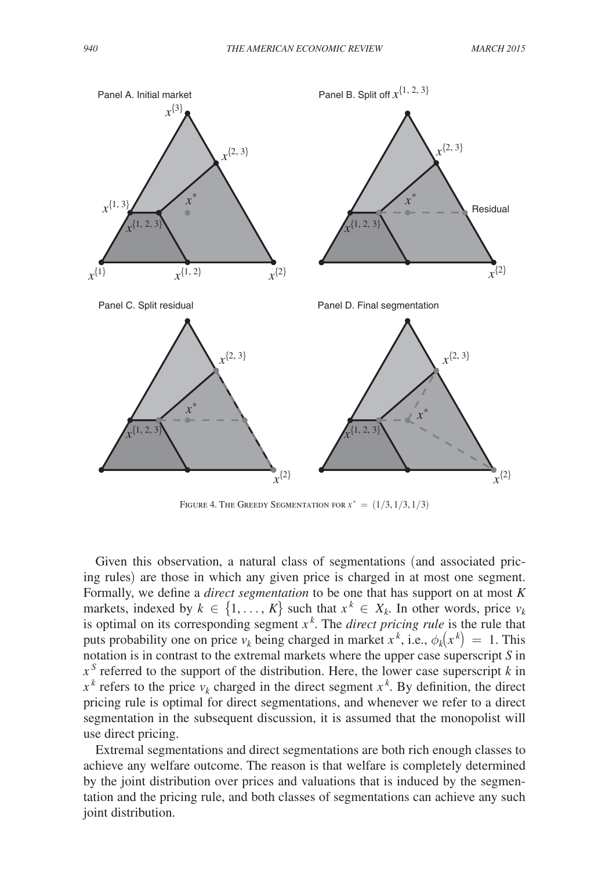<span id="page-19-0"></span>

FIGURE 4. THE GREEDY SEGMENTATION FOR  $x^* = (1/3, 1/3, 1/3)$ 

Given this observation, a natural class of segmentations (and associated pricing rules) are those in which any given price is charged in at most one segment. Formally, we define a *direct segmentation* to be one that has support on at most *K* markets, indexed by  $k \in \{1, \ldots, K\}$  such that  $x^k \in X_k$ . In other words, price  $v_k$ is optimal on its corresponding segment  $x<sup>k</sup>$ . The *direct pricing rule* is the rule that puts probability one on price  $v_k$  being charged in market  $x^k$ , i.e.,  $\phi_k(x^k) = 1$ . This notation is in contrast to the extremal markets where the upper case superscript *S* in  $x^S$  referred to the support of the distribution. Here, the lower case superscript *k* in  $x^k$  refers to the price  $v_k$  charged in the direct segment  $x^k$ . By definition, the direct pricing rule is optimal for direct segmentations, and whenever we refer to a direct segmentation in the subsequent discussion, it is assumed that the monopolist will use direct pricing.

Extremal segmentations and direct segmentations are both rich enough classes to achieve any welfare outcome. The reason is that welfare is completely determined by the joint distribution over prices and valuations that is induced by the segmentation and the pricing rule, and both classes of segmentations can achieve any such joint distribution.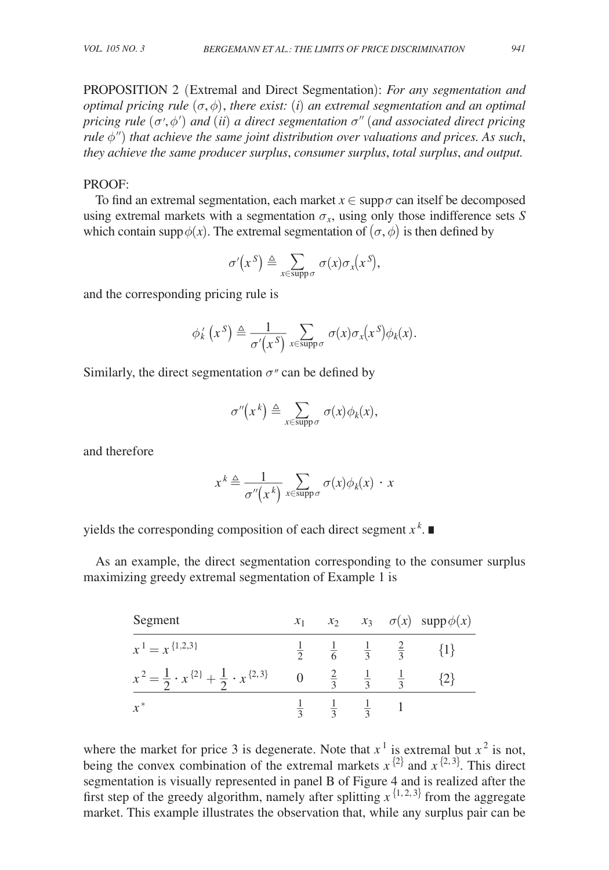Proposition 2 (Extremal and Direct Segmentation): *For any segmentation and optimal pricing rule*  $(\sigma, \phi)$ *, there exist:* (*i*) an extremal segmentation and an optimal *pricing rule* (σ′,ϕ′) *and* (*ii*) *a direct segmentation* σ″ (*and associated direct pricing rule* ϕ″) *that achieve the same joint distribution over valuations and prices. As such*, *they achieve the same producer surplus*, *consumer surplus*, *total surplus*, *and output.*

# PROOF:

To find an extremal segmentation, each market  $x \in \text{supp } \sigma$  can itself be decomposed using extremal markets with a segmentation  $\sigma_x$ , using only those indifference sets *S* which contain supp  $\phi(x)$ . The extremal segmentation of  $(\sigma, \phi)$  is then defined by

$$
\sigma'(x^S) \triangleq \sum_{x \in \text{supp }\sigma} \sigma(x) \sigma_x(x^S),
$$

and the corresponding pricing rule is

$$
\phi'_k\left(x^S\right) \triangleq \frac{1}{\sigma'\!\left(x^S\right)}\sum_{x\in \text{supp}\,\sigma}\sigma(x)\sigma_x\!\!\left(x^S\right)\!\phi_k\!\!\left(x\right)\!.
$$

Similarly, the direct segmentation  $\sigma''$  can be defined by

$$
\sigma''\big(x^k\big) \triangleq \sum_{x \in \text{supp}\,\sigma} \, \sigma(x) \phi_k(x),
$$

and therefore

$$
x^{k} \triangleq \frac{1}{\sigma''(x^{k})} \sum_{x \in \text{supp}\,\sigma} \sigma(x) \phi_{k}(x) \cdot x
$$

yields the corresponding composition of each direct segment *x <sup>k</sup>* . ∎

As an example, the direct segmentation corresponding to the consumer surplus maximizing greedy extremal segmentation of Example 1 is

| Segment                                                             |                |                                                         |  | $x_1$ $x_2$ $x_3$ $\sigma(x)$ supp $\phi(x)$ |
|---------------------------------------------------------------------|----------------|---------------------------------------------------------|--|----------------------------------------------|
| $x^1 = x^{1,2,3}$                                                   |                | $\frac{1}{2}$ $\frac{1}{6}$ $\frac{1}{3}$ $\frac{2}{3}$ |  |                                              |
| $x^2 = \frac{1}{2} \cdot x^{\{2\}} + \frac{1}{2} \cdot x^{\{2,3\}}$ |                | 0 $\frac{2}{3}$ $\frac{1}{3}$ $\frac{1}{3}$             |  |                                              |
| $x^*$                                                               | $\overline{z}$ | $\frac{1}{3}$ $\frac{1}{3}$                             |  |                                              |

where the market for price 3 is degenerate. Note that  $x^1$  is extremal but  $x^2$  is not, being the convex combination of the extremal markets  $x^{2}$  and  $x^{2,3}$ . This direct segmentation is visually represented in panel B of Figure 4 and is realized after the first step of the greedy algorithm, namely after splitting  $x^{(1,2,3)}$  from the aggregate market. This example illustrates the observation that, while any surplus pair can be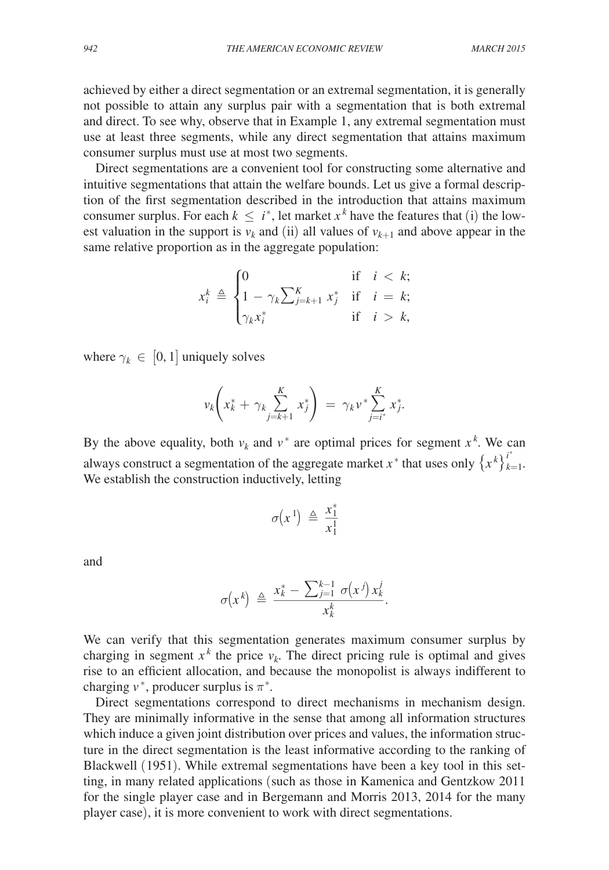achieved by either a direct segmentation or an extremal segmentation, it is generally not possible to attain any surplus pair with a segmentation that is both extremal and direct. To see why, observe that in Example 1, any extremal segmentation must use at least three segments, while any direct segmentation that attains maximum consumer surplus must use at most two segments.

Direct segmentations are a convenient tool for constructing some alternative and intuitive segmentations that attain the welfare bounds. Let us give a formal description of the first segmentation described in the introduction that attains maximum consumer surplus. For each  $k \leq i^*$ , let market  $x^k$  have the features that (i) the lowest valuation in the support is  $v_k$  and (ii) all values of  $v_{k+1}$  and above appear in the same relative proportion as in the aggregate population:

 *xi <sup>k</sup>* ≜ ⎧ ⎪ ⎨ ⎪ ⎩ 0 if *i* < *k*; <sup>1</sup> <sup>−</sup> <sup>γ</sup>*k*∑*<sup>K</sup> <sup>j</sup>*=*k*+<sup>1</sup> *x*<sup>∗</sup> *<sup>j</sup>* if *<sup>i</sup>* <sup>=</sup> *<sup>k</sup>*; γ*<sup>k</sup> xi* <sup>∗</sup> if *i* > *k*,

where  $\gamma_k \in [0, 1]$  uniquely solves

$$
\nu_k \bigg( x_k^* + \gamma_k \sum_{j=k+1}^K x_j^* \bigg) \; = \; \gamma_k \nu^* \sum_{j=i^*}^K x_j^*.
$$

By the above equality, both  $v_k$  and  $v^*$  are optimal prices for segment  $x^k$ . We can always construct a segmentation of the aggregate market  $x^*$  that uses only  $\{x^k\}_{k=1}^i$ . We establish the construction inductively, letting

$$
\sigma(x^1) \triangleq \frac{x_1^*}{x_1^1}
$$

and

and  
\n
$$
\sigma(x^k) \triangleq \frac{x_k^* - \sum_{j=1}^{k-1} \sigma(x^j) x_k^j}{x_k^k}.
$$

We can verify that this segmentation generates maximum consumer surplus by charging in segment  $x^k$  the price  $v_k$ . The direct pricing rule is optimal and gives rise to an efficient allocation, and because the monopolist is always indifferent to charging  $v^*$ , producer surplus is  $\pi^*$ .

Direct segmentations correspond to direct mechanisms in mechanism design. They are minimally informative in the sense that among all information structures which induce a given joint distribution over prices and values, the information structure in the direct segmentation is the least informative according to the ranking of Blackwell (1951). While extremal segmentations have been a key tool in this setting, in many related applications (such as those in Kamenica and Gentzkow 2011 for the single player case and in Bergemann and Morris 2013, 2014 for the many player case), it is more convenient to work with direct segmentations.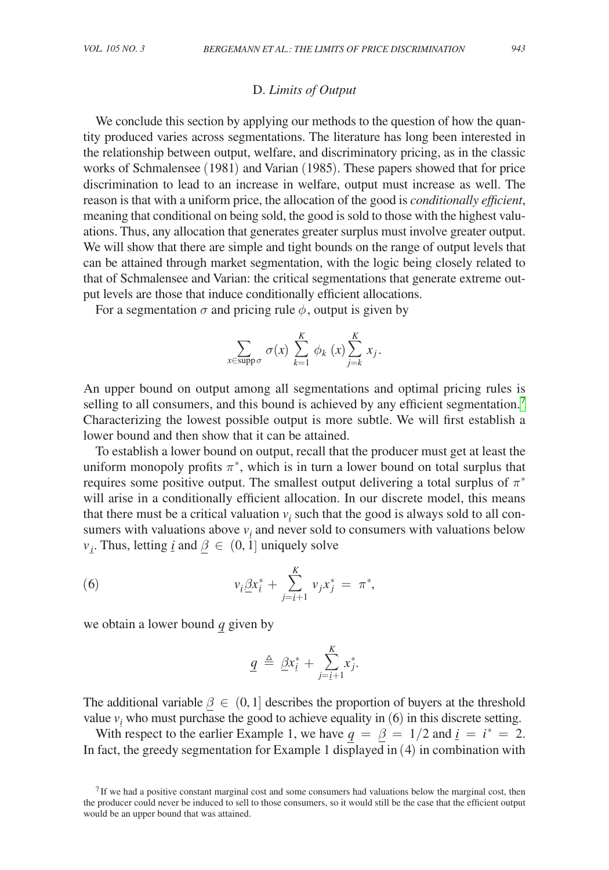# D. *Limits of Output*

We conclude this section by applying our methods to the question of how the quantity produced varies across segmentations. The literature has long been interested in the relationship between output, welfare, and discriminatory pricing, as in the classic works of Schmalensee (1981) and Varian (1985). These papers showed that for price discrimination to lead to an increase in welfare, output must increase as well. The reason is that with a uniform price, the allocation of the good is *conditionally efficient*, meaning that conditional on being sold, the good is sold to those with the highest valuations. Thus, any allocation that generates greater surplus must involve greater output. We will show that there are simple and tight bounds on the range of output levels that can be attained through market segmentation, with the logic being closely related to that of Schmalensee and Varian: the critical segmentations that generate extreme output levels are those that induce conditionally efficient allocations.

For a segmentation  $\sigma$  and pricing rule  $\phi$ , output is given by

$$
\sum_{x \in \text{supp}\,\sigma} \sigma(x) \sum_{k=1}^K \phi_k(x) \sum_{j=k}^K x_j.
$$

An upper bound on output among all segmentations and optimal pricing rules is selling to all consumers, and this bound is achieved by any efficient segmentation.<sup>[7](#page-22-0)</sup> Characterizing the lowest possible output is more subtle. We will first establish a lower bound and then show that it can be attained.

To establish a lower bound on output, recall that the producer must get at least the uniform monopoly profits  $\pi^*$ , which is in turn a lower bound on total surplus that requires some positive output. The smallest output delivering a total surplus of  $\pi^*$ will arise in a conditionally efficient allocation. In our discrete model, this means that there must be a critical valuation  $v_i$  such that the good is always sold to all consumers with valuations above  $v_i$  and never sold to consumers with valuations below  $v_i$ . Thus, letting <u>*i*</u> and  $\beta \in (0, 1]$  uniquely solve

(6) 
$$
v_{\underline{i}} \underline{\beta} x_{\underline{i}}^* + \sum_{j=\underline{i}+1}^K v_j x_j^* = \pi^*,
$$

we obtain a lower bound \_*q* given by

$$
\underline{q} ~\triangleq~ \underline{\beta} x^*_i + \sum_{j=i+1}^K x^*_j.
$$

The additional variable  $\beta \in (0, 1]$  describes the proportion of buyers at the threshold value  $v_i$  who must purchase the good to achieve equality in (6) in this discrete setting.

With respect to the earlier Example 1, we have  $q = \beta = 1/2$  and  $\dot{q} = i^* = 2$ . In fact, the greedy segmentation for Example 1 displayed in (4) in combination with

<span id="page-22-0"></span> $<sup>7</sup>$  If we had a positive constant marginal cost and some consumers had valuations below the marginal cost, then</sup> the producer could never be induced to sell to those consumers, so it would still be the case that the efficient output would be an upper bound that was attained.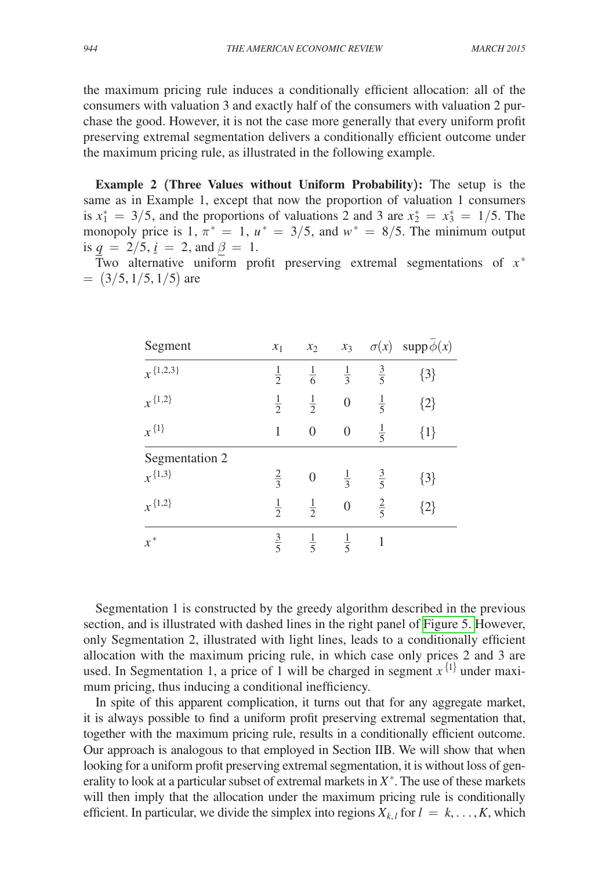the maximum pricing rule induces a conditionally efficient allocation: all of the consumers with valuation 3 and exactly half of the consumers with valuation 2 purchase the good. However, it is not the case more generally that every uniform profit preserving extremal segmentation delivers a conditionally efficient outcome under the maximum pricing rule, as illustrated in the following example.

**Example 2 (Three Values without Uniform Probability):** The setup is the same as in Example 1, except that now the proportion of valuation 1 consumers is  $x_1^* = 3/5$ , and the proportions of valuations 2 and 3 are  $x_2^* = x_3^* = 1/5$ . The monopoly price is 1,  $\pi^* = 1$ ,  $u^* = 3/5$ , and  $w^* = 8/5$ . The minimum output is  $q = 2/5$ ,  $i = 2$ , and  $\beta = 1$ .

Two alternative uniform profit preserving extremal segmentations of  $x^*$  $=$  (3/5, 1/5, 1/5) are

| Segment                        | $x_1$         | $x_2$            | $x_3$            | $\sigma(x)$   | $\text{supp}\,\overline{\phi}(x)$ |
|--------------------------------|---------------|------------------|------------------|---------------|-----------------------------------|
| $x^{\{1,2,3\}}$                | $\frac{1}{2}$ | $\frac{1}{6}$    | $\frac{1}{3}$    | $rac{3}{5}$   | ${3}$                             |
| $\mathcal{X}^{\{1,2\}}$        | $\frac{1}{2}$ | $\frac{1}{2}$    | $\boldsymbol{0}$ | $\frac{1}{5}$ | ${2}$                             |
| $\chi^{\{1\}}$                 | $\mathbf{1}$  | $\overline{0}$   | $\boldsymbol{0}$ | $\frac{1}{5}$ | $\{1\}$                           |
| Segmentation 2                 |               |                  |                  |               |                                   |
| $\chi \, \lbrace 1,3 \rbrace$  | $rac{2}{3}$   | $\boldsymbol{0}$ | $\frac{1}{3}$    | $rac{3}{5}$   | ${3}$                             |
| $\boldsymbol{\chi} \, \{1,2\}$ | $\frac{1}{2}$ | $\frac{1}{2}$    | $\boldsymbol{0}$ | $rac{2}{5}$   | [2]                               |
| $x^*$                          | $rac{3}{5}$   | $\frac{1}{5}$    | $\frac{1}{5}$    | 1             |                                   |

Segmentation 1 is constructed by the greedy algorithm described in the previous section, and is illustrated with dashed lines in the right panel of [Figure 5.](#page-24-0) However, only Segmentation 2, illustrated with light lines, leads to a conditionally efficient allocation with the maximum pricing rule, in which case only prices 2 and 3 are used. In Segmentation 1, a price of 1 will be charged in segment  $x^{\{1\}}$  under maximum pricing, thus inducing a conditional inefficiency.

In spite of this apparent complication, it turns out that for any aggregate market, it is always possible to find a uniform profit preserving extremal segmentation that, together with the maximum pricing rule, results in a conditionally efficient outcome. Our approach is analogous to that employed in Section IIB. We will show that when looking for a uniform profit preserving extremal segmentation, it is without loss of generality to look at a particular subset of extremal markets in *X*<sup>∗</sup> . The use of these markets will then imply that the allocation under the maximum pricing rule is conditionally efficient. In particular, we divide the simplex into regions  $X_{k,l}$  for  $l = k, \ldots, K$ , which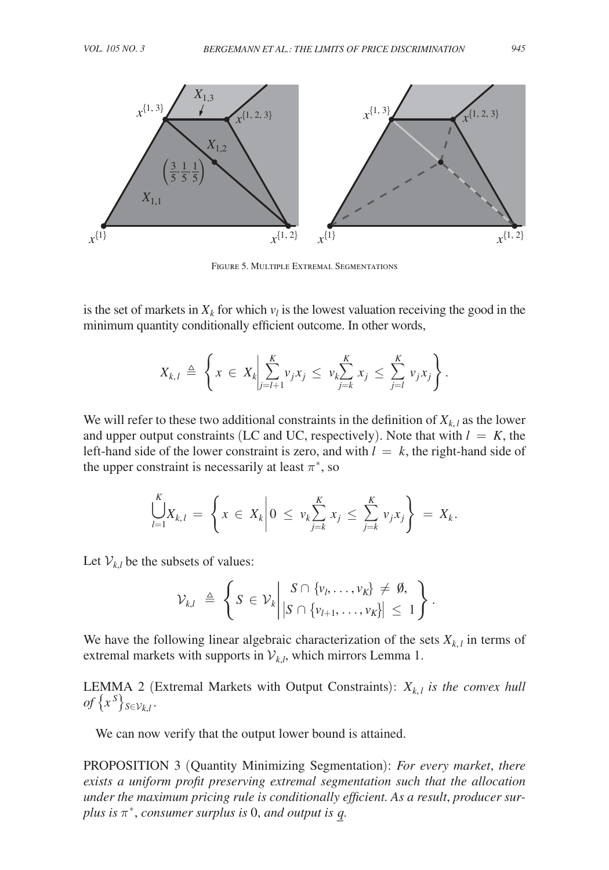<span id="page-24-0"></span>

Figure 5. Multiple Extremal Segmentations

is the set of markets in  $X_k$  for which  $v_l$  is the lowest valuation receiving the good in the minimum quantity conditionally efficient outcome. In other words,

$$
X_{k,l} \triangleq \left\{ x \in X_k \middle| \sum_{j=l+1}^K \nu_j x_j \leq \nu_k \sum_{j=k}^K x_j \leq \sum_{j=l}^K \nu_j x_j \right\}.
$$

We will refer to these two additional constraints in the definition of  $X_{k,l}$  as the lower and upper output constraints (LC and UC, respectively). Note that with  $l = K$ , the left-hand side of the lower constraint is zero, and with  $l = k$ , the right-hand side of the upper constraint is necessarily at least  $\pi^*$ , so

$$
\bigcup_{l=1}^K X_{k,l} \ = \ \left\{ x \ \in \ X_k \ \bigg| \ 0 \ \leq \ v_k \sum_{j=k}^K x_j \ \leq \ \sum_{j=k}^K v_j x_j \right\} \ = \ X_k.
$$

Let  $V_{k,l}$  be the subsets of values:

$$
\mathcal{V}_{k,l} \triangleq \left\{ S \in \mathcal{V}_k \middle| \begin{aligned} S \cap \{v_l, \ldots, v_K\} &\neq \emptyset, \\ \big| S \cap \{v_{l+1}, \ldots, v_K\} \big| &\leq 1 \end{aligned} \right\}.
$$

We have the following linear algebraic characterization of the sets  $X_{k,l}$  in terms of extremal markets with supports in  $V_{k,l}$ , which mirrors Lemma 1.

LEMMA 2 (Extremal Markets with Output Constraints):  $X_{k,l}$  *is the convex hull*  $of \{x^S\}_{S \in \mathcal{V}_{k,l}}$ .

We can now verify that the output lower bound is attained.

Proposition 3 (Quantity Minimizing Segmentation): *For every market*, *there exists a uniform profit preserving extremal segmentation such that the allocation under the maximum pricing rule is conditionally efficient. As a result*, *producer surplus is* π<sup>∗</sup> , *consumer surplus is* 0, *and output is \_q.*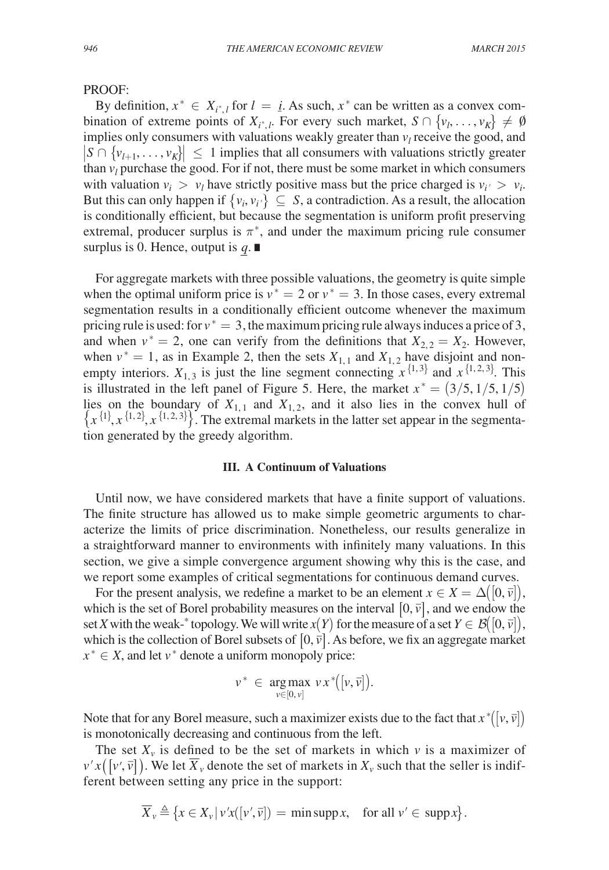## PROOF:

By definition,  $x^* \in X_{i^*,l}$  for  $l = \underline{i}$ . As such,  $x^*$  can be written as a convex combination of extreme points of  $X_{i^*,l}$ . For every such market,  $S \cap \{v_l, \ldots, v_K\} \neq \emptyset$ implies only consumers with valuations weakly greater than  $v_l$  receive the good, and  $|S \cap \{v_{l+1}, \ldots, v_K\}| \leq 1$  implies that all consumers with valuations strictly greater than  $v_l$  purchase the good. For if not, there must be some market in which consumers with valuation  $v_i > v_l$  have strictly positive mass but the price charged is  $v_i > v_i$ . But this can only happen if  $\{v_i, v_{i'}\} \subseteq S$ , a contradiction. As a result, the allocation is conditionally efficient, but because the segmentation is uniform profit preserving extremal, producer surplus is  $\pi^*$ , and under the maximum pricing rule consumer surplus is 0. Hence, output is  $q$ . ■

For aggregate markets with three possible valuations, the geometry is quite simple when the optimal uniform price is  $v^* = 2$  or  $v^* = 3$ . In those cases, every extremal segmentation results in a conditionally efficient outcome whenever the maximum pricing rule is used: for  $v^* = 3$ , the maximum pricing rule always induces a price of 3, and when  $v^* = 2$ , one can verify from the definitions that  $X_{2,2} = X_2$ . However, when  $v^* = 1$ , as in Example 2, then the sets  $X_{1,1}$  and  $X_{1,2}$  have disjoint and nonempty interiors.  $X_{1,3}$  is just the line segment connecting  $x^{\{1,3\}}$  and  $x^{\{1,2,3\}}$ . This is illustrated in the left panel of Figure 5. Here, the market  $x^* = (3/5, 1/5, 1/5)$ lies on the boundary of  $X_{1,1}$  and  $X_{1,2}$ , and it also lies in the convex hull of  ${x<sup>{1}</sup>, x<sup>{1,2}</sup>, x<sup>{1,2,3}</sup>}$ . The extremal markets in the latter set appear in the segmentation generated by the greedy algorithm.

## **III. A Continuum of Valuations**

Until now, we have considered markets that have a finite support of valuations. The finite structure has allowed us to make simple geometric arguments to characterize the limits of price discrimination. Nonetheless, our results generalize in a straightforward manner to environments with infinitely many valuations. In this section, we give a simple convergence argument showing why this is the case, and we report some examples of critical segmentations for continuous demand curves.

For the present analysis, we redefine a market to be an element  $x \in X = \Delta([0, \bar{v}]),$ which is the set of Borel probability measures on the interval  $[0, \bar{v}]$ , and we endow the set *X* with the weak-\* topology. We will write  $x(Y)$  for the measure of a set  $Y \in \mathcal{B}([0, \bar{v}]),$ which is the collection of Borel subsets of  $[0, \overline{v}]$ . As before, we fix an aggregate market  $x^* \in X$ , and let *v*<sup>\*</sup> denote a uniform monopoly price:

$$
v^* \in \argmax_{v \in [0, v]} vx^*([v, \overline{v}]).
$$

Note that for any Borel measure, such a maximizer exists due to the fact that  $x^*([\nu, \overline{\nu}])$ is monotonically decreasing and continuous from the left.

The set  $X_{\nu}$  is defined to be the set of markets in which  $\nu$  is a maximizer of The set  $X_v$  is defined to be the set of markets in which  $v$  is a maximizer of  $v'x([v', \bar{v}])$ . We let  $\overline{X}_v$  denote the set of markets in  $X_v$  such that the seller is indifferent between setting any price in the support:

$$
\overline{X}_{\nu} \triangleq \{x \in X_{\nu} | \nu'x([\nu', \overline{\nu}]) = \min \text{supp } x, \text{ for all } \nu' \in \text{supp } x\}.
$$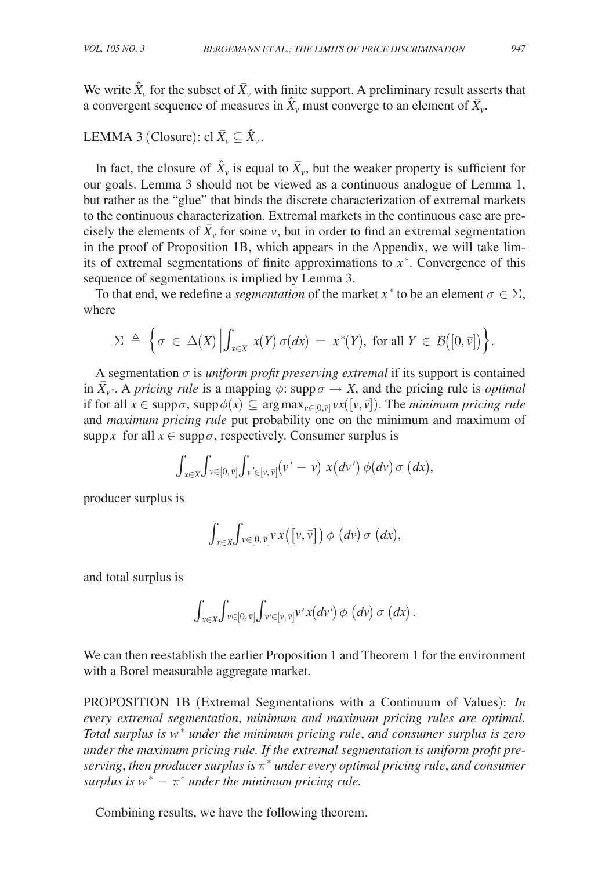We write  $\hat{X}_v$  for the subset of  $\bar{X}_v$  with finite support. A preliminary result asserts that a convergent sequence of measures in  $\hat{X}_v$  must converge to an element of  $\overline{X}_v$ .

LEMMA 3 (Closure): cl  $\bar{X}_v \subseteq \hat{X}_v$ .

In fact, the closure of  $\hat{X}_v$  is equal to  $\bar{X}_v$ , but the weaker property is sufficient for our goals. Lemma 3 should not be viewed as a continuous analogue of Lemma 1, but rather as the "glue" that binds the discrete characterization of extremal markets to the continuous characterization. Extremal markets in the continuous case are precisely the elements of  $\bar{X}_v$  for some *v*, but in order to find an extremal segmentation in the proof of Proposition 1B, which appears in the Appendix, we will take limits of extremal segmentations of finite approximations to  $x^*$ . Convergence of this sequence of segmentations is implied by Lemma 3.

To that end, we redefine a *segmentation* of the market  $x^*$  to be an element  $\sigma \in \Sigma$ , where

$$
\Sigma \,\, \triangleq \,\, \Big\{\sigma \,\in \,\, \Delta(X) \,\Big|\hbox{$\int_{x \in X} x(Y) \, \sigma(dx) \, = \, x^*(Y)$, for all $Y \, \in \, \mathcal{B}\big([0, \bar v]\big)$} \Big\}.
$$

A segmentation  $\sigma$  is *uniform profit preserving extremal* if its support is contained in  $\bar{X}_{y^*}$ . A *pricing rule* is a mapping  $\phi$ : supp $\sigma \to X$ , and the pricing rule is *optimal* if for all  $x \in \text{supp }\sigma$ ,  $\text{supp }\phi(x) \subseteq \text{arg max}_{v \in [0,\bar{v}]} vx([v,\bar{v}])$ . The *minimum pricing rule* and *maximum pricing rule* put probability one on the minimum and maximum of suppx for all  $x \in \text{supp } \sigma$ , respectively. Consumer surplus is

$$
\int_{x\in X}\!\!\int_{\nu\in[0,\,\overline{\nu}]} \!\!\int_{\nu'\in[\nu,\,\overline{\nu}]} \!\!\left(\nu'\,-\,\nu\right)\,x\!\left(d\nu'\right)\phi\!\left(d\nu\right)\sigma\,\left(dx\right)\!,
$$

producer surplus is

$$
\int_{x\in X}\!\!\int_{v\in [0,\,\overline{v}]}\nu\,x\big(\big[\nu,\,\overline{v}\big]\big)\,\phi\,\,\big(d\nu\big)\,\sigma\,\,\big(d x\big),
$$

and total surplus is

$$
\int_{x\in X}\!\!\int_{\nu\in [0,\,\overline{\nu}]} \!\int_{\nu'\in [\nu,\,\overline{\nu}]} \!\nu'\,x(d\nu')\,\phi\,\left(d\nu\right)\sigma\,\left(dx\right).
$$

We can then reestablish the earlier Proposition 1 and Theorem 1 for the environment with a Borel measurable aggregate market.

Proposition 1B (Extremal Segmentations with a Continuum of Values): *In every extremal segmentation*, *minimum and maximum pricing rules are optimal. Total surplus is* w<sup>\*</sup> under the minimum pricing rule, and consumer surplus is zero *under the maximum pricing rule. If the extremal segmentation is uniform profit preserving*, *then producer surplus is* π<sup>∗</sup>  *under every optimal pricing rule*, *and consumer*   $surplus$  is  $w^* - \pi^*$  *under the minimum pricing rule.* 

Combining results, we have the following theorem.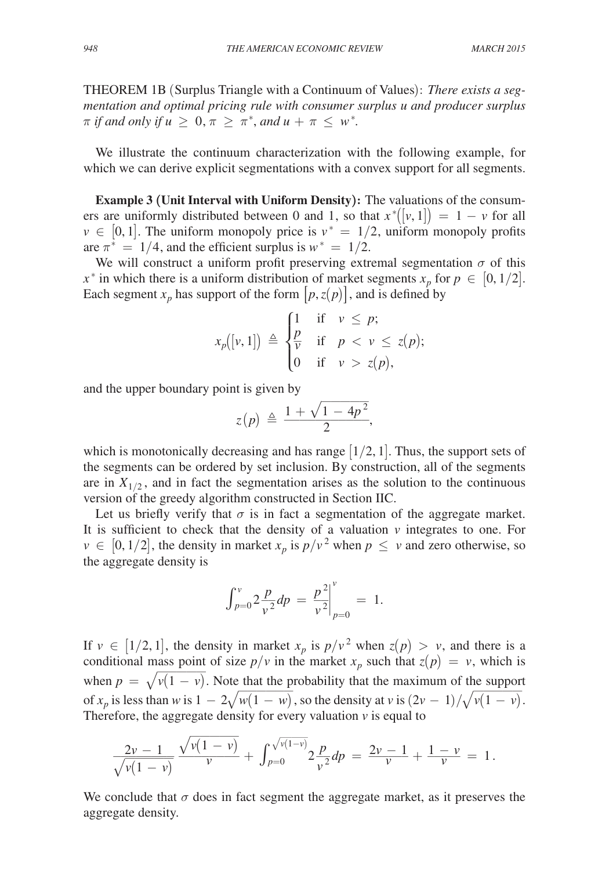THEOREM 1B (Surplus Triangle with a Continuum of Values): *There exists a segmentation and optimal pricing rule with consumer surplus u and producer surplus*   $\pi$  *if and only if*  $u \geq 0$ ,  $\pi \geq \pi^*$ , and  $u + \pi \leq w^*$ .

We illustrate the continuum characterization with the following example, for which we can derive explicit segmentations with a convex support for all segments.

**Example 3 (Unit Interval with Uniform Density):** The valuations of the consumers are uniformly distributed between 0 and 1, so that  $x^*([v, 1]) = 1 - v$  for all  $v \in [0, 1]$ . The uniform monopoly price is  $v^* = 1/2$ , uniform monopoly profits are  $\pi^* = 1/4$ , and the efficient surplus is  $w^* = 1/2$ .

We will construct a uniform profit preserving extremal segmentation  $\sigma$  of this *x*<sup>\*</sup> in which there is a uniform distribution of market segments  $x_p$  for  $p \in [0, 1/2]$ . Each segment  $x_p$  has support of the form  $[p, z(p)]$ , and is defined by

$$
x_p([v,1]) \triangleq \begin{cases} 1 & \text{if } v \leq p; \\ \frac{p}{v} & \text{if } p < v \leq z(p); \\ 0 & \text{if } v > z(p), \end{cases}
$$

and the upper boundary point is given by

and the upper boundary point is given by  
\n
$$
z(p) \triangleq \frac{1 + \sqrt{1 - 4p^2}}{2},
$$

which is monotonically decreasing and has range  $(1/2, 1]$ . Thus, the support sets of the segments can be ordered by set inclusion. By construction, all of the segments are in  $X_{1/2}$ , and in fact the segmentation arises as the solution to the continuous version of the greedy algorithm constructed in Section IIC.

Let us briefly verify that  $\sigma$  is in fact a segmentation of the aggregate market. It is sufficient to check that the density of a valuation  $\nu$  integrates to one. For  $v \in [0, 1/2]$ , the density in market  $x_p$  is  $p/v^2$  when  $p \le v$  and zero otherwise, so the aggregate density is

$$
\int_{p=0}^{v} 2\frac{p}{v^2} dp = \frac{p^2}{v^2}\Big|_{p=0}^{v} = 1.
$$

If  $v \in [1/2, 1]$ , the density in market  $x_p$  is  $p/v^2$  when  $z(p) > v$ , and there is a conditional mass point of size  $p/v$  in the market  $x_p$  such that  $z(p) = v$ , which is when  $p = \sqrt{v(1 - v)}$ . Note that the probability that the maximum of the support  $\sqrt{v(1 - v)}$ of  $x_p$  is less than *w* is  $1 - 2\sqrt{w(1 - w)}$ , so the density at *v* is  $(2v - 1)/\sqrt{v(1 - v)}$ . Therefore, the aggregate density for every valuation  $\nu$  is equal to

$$
\frac{2\nu-1}{\sqrt{\nu(1-\nu)}}\,\frac{\sqrt{\nu(1-\nu)}}{\nu}+\int_{p=0}^{\sqrt{\nu(1-\nu)}}\,2\frac{p}{\nu^2}dp\,=\,\frac{2\nu-1}{\nu}+\frac{1-\nu}{\nu}\,=\,1\,.
$$

We conclude that  $\sigma$  does in fact segment the aggregate market, as it preserves the aggregate density.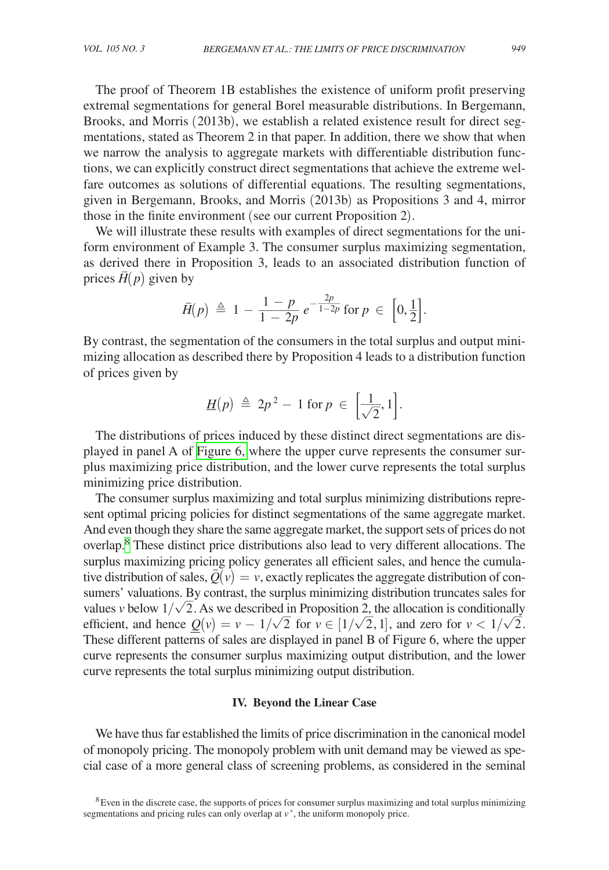The proof of Theorem 1B establishes the existence of uniform profit preserving extremal segmentations for general Borel measurable distributions. In Bergemann, Brooks, and Morris (2013b), we establish a related existence result for direct segmentations, stated as Theorem 2 in that paper. In addition, there we show that when we narrow the analysis to aggregate markets with differentiable distribution functions, we can explicitly construct direct segmentations that achieve the extreme welfare outcomes as solutions of differential equations. The resulting segmentations, given in Bergemann, Brooks, and Morris (2013b) as Propositions 3 and 4, mirror those in the finite environment (see our current Proposition 2).

We will illustrate these results with examples of direct segmentations for the uniform environment of Example 3. The consumer surplus maximizing segmentation, as derived there in Proposition 3, leads to an associated distribution function of prices  $\bar{H}(p)$  given by

$$
\bar{H}(p) \triangleq 1 - \frac{1-p}{1-2p} e^{-\frac{2p}{1-2p}} \text{ for } p \in \left[0, \frac{1}{2}\right].
$$

By contrast, the segmentation of the consumers in the total surplus and output minimizing allocation as described there by Proposition 4 leads to a distribution function of prices given by

$$
\underline{H}(p) \triangleq 2p^2 - 1 \text{ for } p \in \left[\frac{1}{\sqrt{2}}, 1\right].
$$

The distributions of prices induced by these distinct direct segmentations are displayed in panel A of [Figure 6,](#page-29-0) where the upper curve represents the consumer surplus maximizing price distribution, and the lower curve represents the total surplus minimizing price distribution.

The consumer surplus maximizing and total surplus minimizing distributions represent optimal pricing policies for distinct segmentations of the same aggregate market. And even though they share the same aggregate market, the support sets of prices do not overlap[.8](#page-28-0) These distinct price distributions also lead to very different allocations. The surplus maximizing pricing policy generates all efficient sales, and hence the cumulative distribution of sales,  $\overline{Q}(v) = v$ , exactly replicates the aggregate distribution of consumers' valuations. By contrast, the surplus minimizing distribution truncates sales for values *v* below  $1/\sqrt{2}$ . As we described in Proposition 2, the allocation is conditionally efficient, and hence  $Q(v) = v - 1/\sqrt{2}$  for  $v \in [1/\sqrt{2}, 1]$ , and zero for  $v < 1/\sqrt{2}$ . These different patterns of sales are displayed in panel B of Figure 6, where the upper curve represents the consumer surplus maximizing output distribution, and the lower curve represents the total surplus minimizing output distribution.

#### **IV. Beyond the Linear Case**

We have thus far established the limits of price discrimination in the canonical model of monopoly pricing. The monopoly problem with unit demand may be viewed as special case of a more general class of screening problems, as considered in the seminal

<span id="page-28-0"></span><sup>&</sup>lt;sup>8</sup>Even in the discrete case, the supports of prices for consumer surplus maximizing and total surplus minimizing segmentations and pricing rules can only overlap at  $v^*$ , the uniform monopoly price.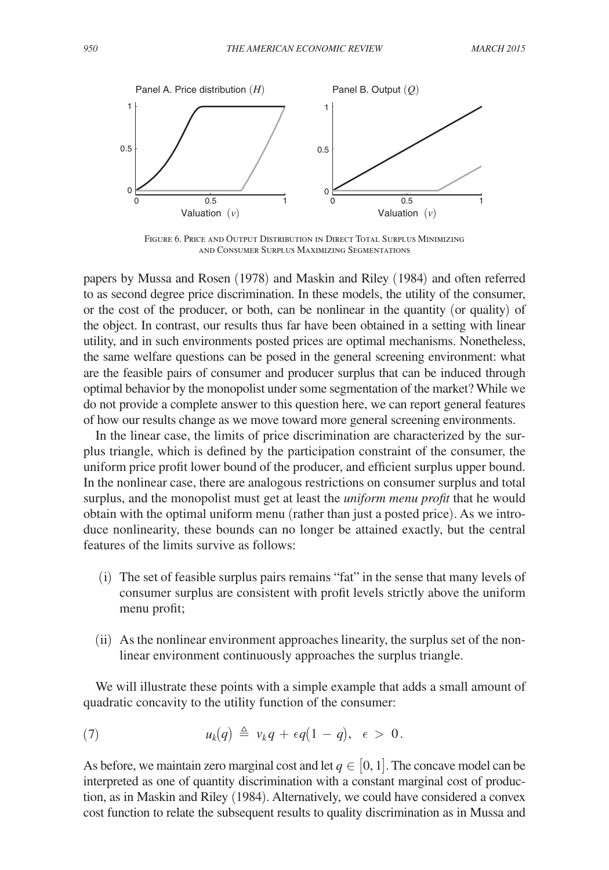<span id="page-29-0"></span>

Figure 6. Price and Output Distribution in Direct Total Surplus Minimizing and Consumer Surplus Maximizing Segmentations

papers by Mussa and Rosen (1978) and Maskin and Riley (1984) and often referred to as second degree price discrimination. In these models, the utility of the consumer, or the cost of the producer, or both, can be nonlinear in the quantity (or quality) of the object. In contrast, our results thus far have been obtained in a setting with linear utility, and in such environments posted prices are optimal mechanisms. Nonetheless, the same welfare questions can be posed in the general screening environment: what are the feasible pairs of consumer and producer surplus that can be induced through optimal behavior by the monopolist under some segmentation of the market? While we do not provide a complete answer to this question here, we can report general features of how our results change as we move toward more general screening environments.

In the linear case, the limits of price discrimination are characterized by the surplus triangle, which is defined by the participation constraint of the consumer, the uniform price profit lower bound of the producer, and efficient surplus upper bound. In the nonlinear case, there are analogous restrictions on consumer surplus and total surplus, and the monopolist must get at least the *uniform menu profit* that he would obtain with the optimal uniform menu (rather than just a posted price). As we introduce nonlinearity, these bounds can no longer be attained exactly, but the central features of the limits survive as follows:

- (i) The set of feasible surplus pairs remains "fat" in the sense that many levels of consumer surplus are consistent with profit levels strictly above the uniform menu profit;
- (ii) As the nonlinear environment approaches linearity, the surplus set of the nonlinear environment continuously approaches the surplus triangle.

We will illustrate these points with a simple example that adds a small amount of quadratic concavity to the utility function of the consumer:

(7) 
$$
u_k(q) \triangleq v_k q + \epsilon q (1-q), \epsilon > 0.
$$

As before, we maintain zero marginal cost and let  $q \in [0, 1]$ . The concave model can be interpreted as one of quantity discrimination with a constant marginal cost of production, as in Maskin and Riley (1984). Alternatively, we could have considered a convex cost function to relate the subsequent results to quality discrimination as in Mussa and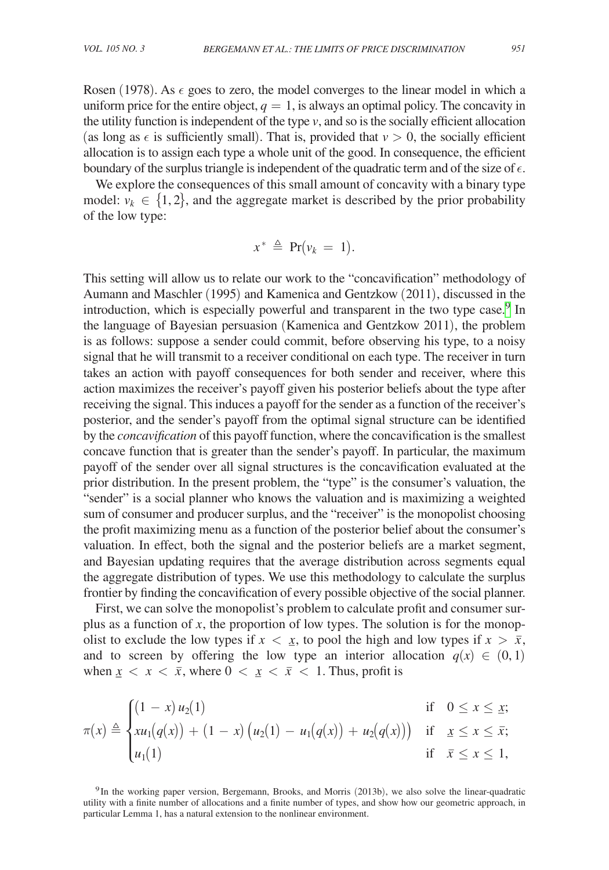Rosen (1978). As  $\epsilon$  goes to zero, the model converges to the linear model in which a uniform price for the entire object,  $q = 1$ , is always an optimal policy. The concavity in the utility function is independent of the type  $v$ , and so is the socially efficient allocation (as long as  $\epsilon$  is sufficiently small). That is, provided that  $\nu > 0$ , the socially efficient allocation is to assign each type a whole unit of the good. In consequence, the efficient boundary of the surplus triangle is independent of the quadratic term and of the size of  $\epsilon$ .

We explore the consequences of this small amount of concavity with a binary type model:  $v_k \in \{1, 2\}$ , and the aggregate market is described by the prior probability of the low type:

$$
x^* \triangleq \Pr(v_k = 1).
$$

This setting will allow us to relate our work to the "concavification" methodology of Aumann and Maschler (1995) and Kamenica and Gentzkow (2011), discussed in the introduction, which is especially powerful and transparent in the two type case.<sup>9</sup> In the language of Bayesian persuasion (Kamenica and Gentzkow 2011), the problem is as follows: suppose a sender could commit, before observing his type, to a noisy signal that he will transmit to a receiver conditional on each type. The receiver in turn takes an action with payoff consequences for both sender and receiver, where this action maximizes the receiver's payoff given his posterior beliefs about the type after receiving the signal. This induces a payoff for the sender as a function of the receiver's posterior, and the sender's payoff from the optimal signal structure can be identified by the *concavification* of this payoff function, where the concavification is the smallest concave function that is greater than the sender's payoff. In particular, the maximum payoff of the sender over all signal structures is the concavification evaluated at the prior distribution. In the present problem, the "type" is the consumer's valuation, the "sender" is a social planner who knows the valuation and is maximizing a weighted sum of consumer and producer surplus, and the "receiver" is the monopolist choosing the profit maximizing menu as a function of the posterior belief about the consumer's valuation. In effect, both the signal and the posterior beliefs are a market segment, and Bayesian updating requires that the average distribution across segments equal the aggregate distribution of types. We use this methodology to calculate the surplus frontier by finding the concavification of every possible objective of the social planner.

First, we can solve the monopolist's problem to calculate profit and consumer surplus as a function of *x*, the proportion of low types. The solution is for the monopolist to exclude the low types if  $x < \underline{x}$ , to pool the high and low types if  $x > \overline{x}$ , and to screen by offering the low type an interior allocation  $q(x) \in (0, 1)$ when  $\underline{x} < x < \overline{x}$ , where  $0 < \underline{x} < \overline{x} < 1$ . Thus, profit is

$$
\pi(x) \triangleq \begin{cases}\n(1-x) u_2(1) & \text{if } 0 \le x \le x; \\
x u_1(q(x)) + (1-x) (u_2(1) - u_1(q(x)) + u_2(q(x))) & \text{if } x \le x \le \bar{x}; \\
u_1(1) & \text{if } \bar{x} \le x \le 1,\n\end{cases}
$$

<span id="page-30-0"></span><sup>9</sup>In the working paper version, Bergemann, Brooks, and Morris (2013b), we also solve the linear-quadratic utility with a finite number of allocations and a finite number of types, and show how our geometric approach, in particular Lemma 1, has a natural extension to the nonlinear environment.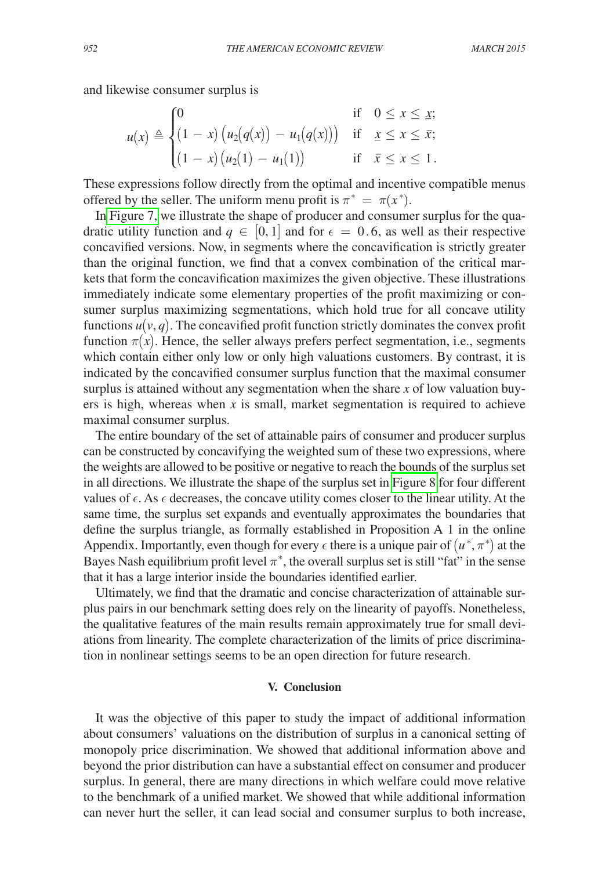and likewise consumer surplus is

$$
u(x) \triangleq \begin{cases} 0 & \text{if } 0 \le x \le x; \\ (1-x) (u_2(q(x)) - u_1(q(x))) & \text{if } x \le x \le \bar{x}; \\ (1-x) (u_2(1) - u_1(1)) & \text{if } \bar{x} \le x \le 1. \end{cases}
$$

These expressions follow directly from the optimal and incentive compatible menus offered by the seller. The uniform menu profit is  $\pi^* = \pi(x^*)$ .

I[n Figure 7,](#page-32-0) we illustrate the shape of producer and consumer surplus for the quadratic utility function and  $q \in [0, 1]$  and for  $\epsilon = 0.6$ , as well as their respective concavified versions. Now, in segments where the concavification is strictly greater than the original function, we find that a convex combination of the critical markets that form the concavification maximizes the given objective. These illustrations immediately indicate some elementary properties of the profit maximizing or consumer surplus maximizing segmentations, which hold true for all concave utility functions  $u(v, q)$ . The concavified profit function strictly dominates the convex profit function  $\pi(x)$ . Hence, the seller always prefers perfect segmentation, i.e., segments which contain either only low or only high valuations customers. By contrast, it is indicated by the concavified consumer surplus function that the maximal consumer surplus is attained without any segmentation when the share *x* of low valuation buyers is high, whereas when *x* is small, market segmentation is required to achieve maximal consumer surplus.

The entire boundary of the set of attainable pairs of consumer and producer surplus can be constructed by concavifying the weighted sum of these two expressions, where the weights are allowed to be positive or negative to reach the bounds of the surplus set in all directions. We illustrate the shape of the surplus set in [Figure 8](#page-32-0) for four different values of  $\epsilon$ . As  $\epsilon$  decreases, the concave utility comes closer to the linear utility. At the same time, the surplus set expands and eventually approximates the boundaries that define the surplus triangle, as formally established in Proposition A 1 in the online Appendix. Importantly, even though for every  $\epsilon$  there is a unique pair of  $(u^*, \pi^*)$  at the Bayes Nash equilibrium profit level  $\pi^*$ , the overall surplus set is still "fat" in the sense that it has a large interior inside the boundaries identified earlier.

Ultimately, we find that the dramatic and concise characterization of attainable surplus pairs in our benchmark setting does rely on the linearity of payoffs. Nonetheless, the qualitative features of the main results remain approximately true for small deviations from linearity. The complete characterization of the limits of price discrimination in nonlinear settings seems to be an open direction for future research.

# **V. Conclusion**

It was the objective of this paper to study the impact of additional information about consumers' valuations on the distribution of surplus in a canonical setting of monopoly price discrimination. We showed that additional information above and beyond the prior distribution can have a substantial effect on consumer and producer surplus. In general, there are many directions in which welfare could move relative to the benchmark of a unified market. We showed that while additional information can never hurt the seller, it can lead social and consumer surplus to both increase,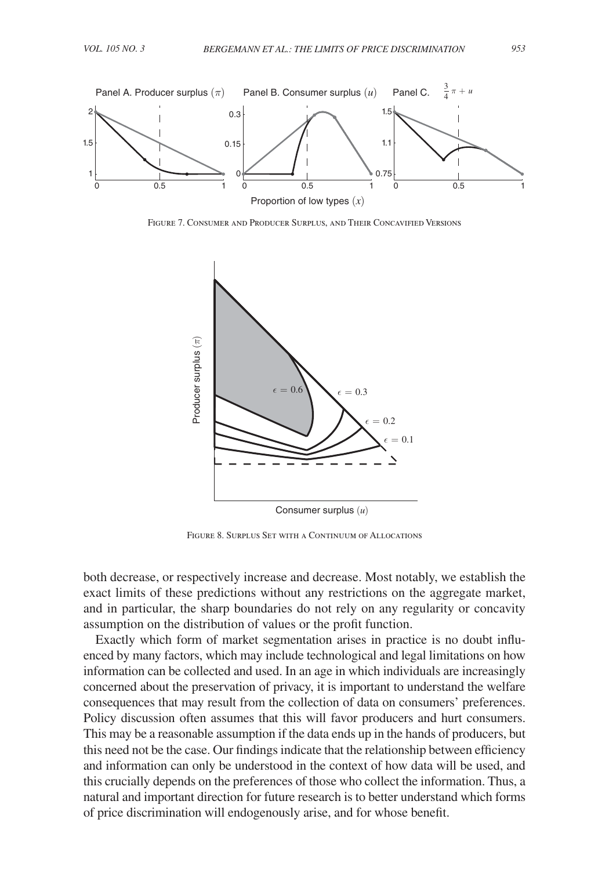<span id="page-32-0"></span>

Figure 7. Consumer and Producer Surplus, and Their Concavified Versions



both decrease, or respectively increase and decrease. Most notably, we establish the exact limits of these predictions without any restrictions on the aggregate market, and in particular, the sharp boundaries do not rely on any regularity or concavity assumption on the distribution of values or the profit function.

Exactly which form of market segmentation arises in practice is no doubt influenced by many factors, which may include technological and legal limitations on how information can be collected and used. In an age in which individuals are increasingly concerned about the preservation of privacy, it is important to understand the welfare consequences that may result from the collection of data on consumers' preferences. Policy discussion often assumes that this will favor producers and hurt consumers. This may be a reasonable assumption if the data ends up in the hands of producers, but this need not be the case. Our findings indicate that the relationship between efficiency and information can only be understood in the context of how data will be used, and this crucially depends on the preferences of those who collect the information. Thus, a natural and important direction for future research is to better understand which forms of price discrimination will endogenously arise, and for whose benefit.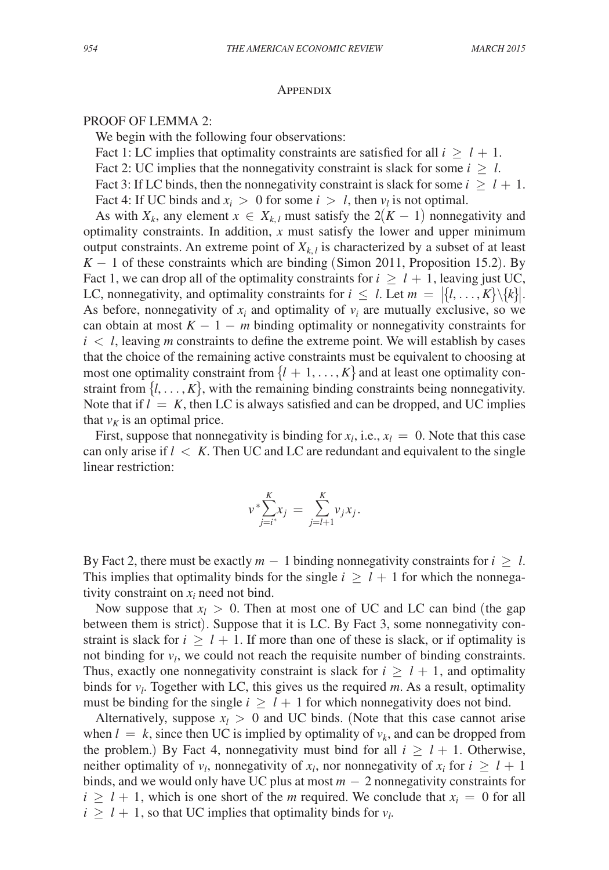#### **APPENDIX**

# PROOF OF LEMMA 2:

We begin with the following four observations:

Fact 1: LC implies that optimality constraints are satisfied for all  $i \geq l + 1$ .

Fact 2: UC implies that the nonnegativity constraint is slack for some  $i \geq l$ .

Fact 3: If LC binds, then the nonnegativity constraint is slack for some  $i \geq l + 1$ . Fact 4: If UC binds and  $x_i > 0$  for some  $i > l$ , then  $v_l$  is not optimal.

As with  $X_k$ , any element  $x \in X_{k,l}$  must satisfy the  $2(K-1)$  nonnegativity and optimality constraints. In addition, *x* must satisfy the lower and upper minimum output constraints. An extreme point of  $X_{k,l}$  is characterized by a subset of at least  $K - 1$  of these constraints which are binding (Simon 2011, Proposition 15.2). By Fact 1, we can drop all of the optimality constraints for  $i \geq l + 1$ , leaving just UC, LC, nonnegativity, and optimality constraints for  $i \leq l$ . Let  $m = |\{l, \ldots, K\} \setminus \{k\}|$ . As before, nonnegativity of  $x_i$  and optimality of  $v_i$  are mutually exclusive, so we can obtain at most  $K - 1 - m$  binding optimality or nonnegativity constraints for  $i < l$ , leaving *m* constraints to define the extreme point. We will establish by cases that the choice of the remaining active constraints must be equivalent to choosing at most one optimality constraint from  $\{l + 1, \ldots, K\}$  and at least one optimality constraint from  $\{l, \ldots, K\}$ , with the remaining binding constraints being nonnegativity. Note that if  $l = K$ , then LC is always satisfied and can be dropped, and UC implies that  $v_K$  is an optimal price.

First, suppose that nonnegativity is binding for  $x_l$ , i.e.,  $x_l = 0$ . Note that this case can only arise if  $l < K$ . Then UC and LC are redundant and equivalent to the single linear restriction:

$$
\nu^* \sum_{j=i^*}^K x_j \ = \ \sum_{j=l+1}^K \nu_j x_j.
$$

By Fact 2, there must be exactly  $m - 1$  binding nonnegativity constraints for  $i \geq l$ . This implies that optimality binds for the single  $i \geq l + 1$  for which the nonnegativity constraint on  $x_i$  need not bind.

Now suppose that  $x_l > 0$ . Then at most one of UC and LC can bind (the gap between them is strict). Suppose that it is LC. By Fact 3, some nonnegativity constraint is slack for  $i \geq l + 1$ . If more than one of these is slack, or if optimality is not binding for  $v_l$ , we could not reach the requisite number of binding constraints. Thus, exactly one nonnegativity constraint is slack for  $i \geq l + 1$ , and optimality binds for  $v_l$ . Together with LC, this gives us the required  $m$ . As a result, optimality must be binding for the single  $i \geq l + 1$  for which nonnegativity does not bind.

Alternatively, suppose  $x_l > 0$  and UC binds. (Note that this case cannot arise when  $l = k$ , since then UC is implied by optimality of  $v_k$ , and can be dropped from the problem.) By Fact 4, nonnegativity must bind for all  $i \geq l + 1$ . Otherwise, neither optimality of  $v_l$ , nonnegativity of  $x_l$ , nor nonnegativity of  $x_i$  for  $i \geq l+1$ binds, and we would only have UC plus at most *m* − 2 nonnegativity constraints for  $i \geq l + 1$ , which is one short of the *m* required. We conclude that  $x_i = 0$  for all  $i \geq l + 1$ , so that UC implies that optimality binds for  $v_l$ .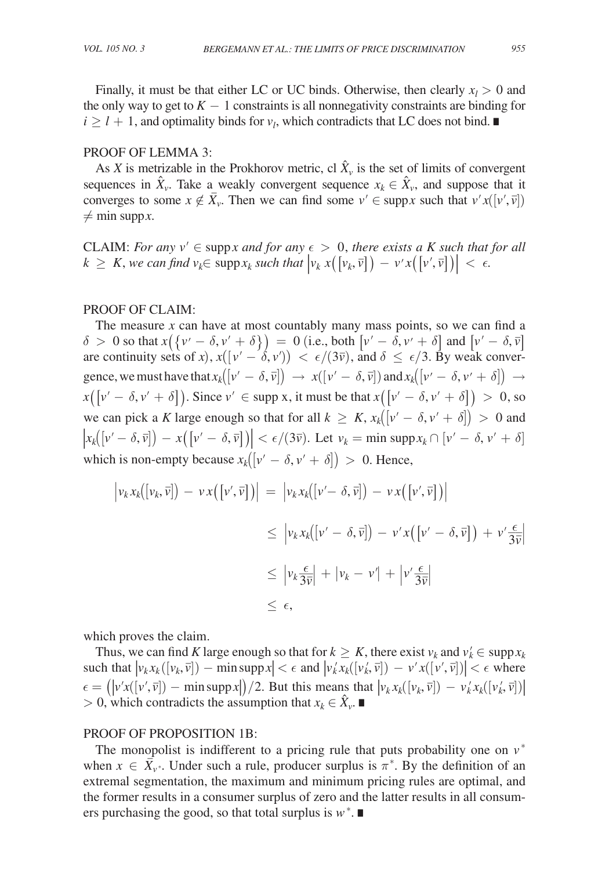Finally, it must be that either LC or UC binds. Otherwise, then clearly  $x_l > 0$  and the only way to get to  $K - 1$  constraints is all nonnegativity constraints are binding for  $i \geq l + 1$ , and optimality binds for *v<sub>l</sub>*, which contradicts that LC does not bind. ■

## PROOF OF LEMMA 3:

As *X* is metrizable in the Prokhorov metric, cl  $\hat{X}_v$  is the set of limits of convergent sequences in  $\hat{X}_y$ . Take a weakly convergent sequence  $x_k \in \hat{X}_y$ , and suppose that it converges to some  $x \notin \overline{X}_v$ . Then we can find some  $v' \in \text{supp } x$  such that  $v'x([v', \overline{v}])$  $\neq$  min supp*x*.

CLAIM: *For any*  $v' \in \text{supp } x$  *and for any*  $\epsilon > 0$ *, there exists a K such that for all*  $k \geq K$ , we can find  $v_k \in \text{supp } x_k$  such that  $|v_k x([v_k, \overline{v}]) - v' x([v', \overline{v}])| < \epsilon$ .

# PROOF OF CLAIM:

The measure  $x$  can have at most countably many mass points, so we can find a  $\delta > 0$  so that  $x(\lbrace v' - \delta, v' + \delta \rbrace) = 0$  (i.e., both  $\left[ v' - \delta, v' + \delta \right]$  and  $\left[ v' - \delta, \overline{v} \right]$ are continuity sets of *x*),  $x([v'-\delta,v')) < \epsilon/(3\bar{v})$ , and  $\delta \leq \epsilon/3$ . By weak convergence, we must have that  $x_k([v'-\delta,\bar{v}]) \to x([v'-\delta,\bar{v}])$  and  $x_k([v'-\delta,v'+\delta]) \to$  $x([v' - \delta, v' + \delta])$ . Since  $v' \in \text{supp } x$ , it must be that  $x([v' - \delta, v' + \delta]) > 0$ , so we can pick a *K* large enough so that for all  $k \geq K$ ,  $x_k([v' - \delta, v' + \delta]) > 0$  and |  $x_k([v'-\delta,\overline{v}]) - x([v'-\delta,\overline{v}]) \le \epsilon/(3\overline{v})$ . Let  $v_k = \min \text{supp} x_k \cap [v'-\delta,v'+\delta]$ which is non-empty because  $x_k([v' - \delta, v' + \delta]) > 0$ . Hence,

$$
\left| \nu_k x_k \left( \left[ v_k, \overline{v} \right] \right) - \nu x \left( \left[ v', \overline{v} \right] \right) \right| = \left| \nu_k x_k \left( \left[ v' - \delta, \overline{v} \right] \right) - \nu x \left( \left[ v', \overline{v} \right] \right) \right|
$$
  
\n
$$
\leq \left| \nu_k x_k \left( \left[ v' - \delta, \overline{v} \right] \right) - \nu' x \left( \left[ v' - \delta, \overline{v} \right] \right) + \nu' \frac{\epsilon}{3 \overline{v}} \right|
$$
  
\n
$$
\leq \left| \nu_k \frac{\epsilon}{3 \overline{v}} \right| + \left| v_k - v' \right| + \left| v' \frac{\epsilon}{3 \overline{v}} \right|
$$
  
\n
$$
\leq \epsilon,
$$

which proves the claim.

Thus, we can find *K* large enough so that for  $k \geq K$ , there exist  $v_k$  and  $v'_k \in \text{supp } x_k$ such that  $|v_k x_k([v_k, \overline{v}]) - \min \text{supp} x| < \epsilon$  and  $|v'_k x_k([v'_k, \overline{v}]) - v'_k([v', \overline{v}])| < \epsilon$  where  $\epsilon = (|v'x([v', \bar{v}]) - \min \text{supp}x|)/2$ . But this means that  $|v_k x_k([v_k, \bar{v}]) - v'_k x_k([v'_k, \bar{v}])|$ > 0, which contradicts the assumption that  $x_k \in \hat{X}_v$ . ■

# PROOF OF PROPOSITION 1B:

The monopolist is indifferent to a pricing rule that puts probability one on  $v^*$ when  $x \in \overline{X}_{\nu^*}$ . Under such a rule, producer surplus is  $\pi^*$ . By the definition of an extremal segmentation, the maximum and minimum pricing rules are optimal, and the former results in a consumer surplus of zero and the latter results in all consumers purchasing the good, so that total surplus is  $w^*$ .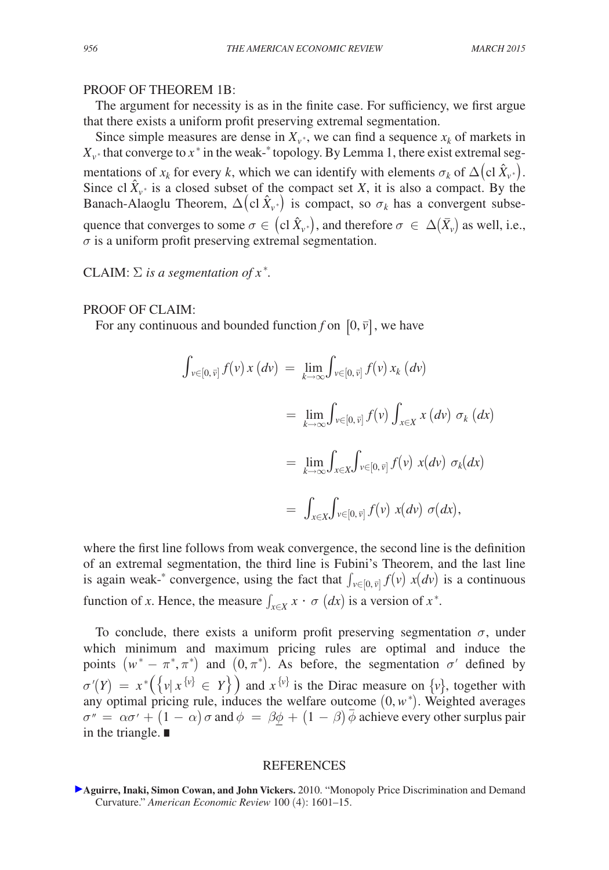## Proof of Theorem 1b:

The argument for necessity is as in the finite case. For sufficiency, we first argue that there exists a uniform profit preserving extremal segmentation.

Since simple measures are dense in  $X_{v^*}$ , we can find a sequence  $x_k$  of markets in  $X_{v^*}$  that converge to  $x^*$  in the weak- $^*$  topology. By Lemma 1, there exist extremal segmentations of  $x_k$  for every  $k$ , which we can identify with elements  $\sigma_k$  of  $\Delta \left( \text{cl } \hat{X}_{\nu^*} \right)$ . Since cl  $\hat{X}_{v^*}$  is a closed subset of the compact set *X*, it is also a compact. By the Banach-Alaoglu Theorem,  $\Delta$ (cl  $\hat{X}_{\nu^*}$ ) is compact, so  $\sigma_k$  has a convergent subsequence that converges to some  $\sigma \in (cl\ \hat{X}_{\nu^*})$ , and therefore  $\sigma \in \Delta(\bar{X}_{\nu})$  as well, i.e.,  $\sigma$  is a uniform profit preserving extremal segmentation.

CLAIM:  $\Sigma$  *is a segmentation of*  $x^*$ .

# PROOF OF CLAIM:

For any continuous and bounded function f on  $[0, \bar{v}]$ , we have

$$
\int_{v \in [0,\,\overline{v}]} f(v) x (dv) = \lim_{k \to \infty} \int_{v \in [0,\,\overline{v}]} f(v) x_k (dv)
$$
  

$$
= \lim_{k \to \infty} \int_{v \in [0,\,\overline{v}]} f(v) \int_{x \in X} x (dv) \sigma_k (dx)
$$
  

$$
= \lim_{k \to \infty} \int_{x \in X} \int_{v \in [0,\,\overline{v}]} f(v) x (dv) \sigma_k (dx)
$$
  

$$
= \int_{x \in X} \int_{v \in [0,\,\overline{v}]} f(v) x (dv) \sigma (dx),
$$

where the first line follows from weak convergence, the second line is the definition of an extremal segmentation, the third line is Fubini's Theorem, and the last line is again weak-\* convergence, using the fact that  $\int_{v \in [0, \bar{v}]} f(v) x(dv)$  is a continuous function of *x*. Hence, the measure  $\int_{x \in X} x \cdot \sigma(dx)$  is a version of  $x^*$ .

To conclude, there exists a uniform profit preserving segmentation  $\sigma$ , under which minimum and maximum pricing rules are optimal and induce the points  $(w^* - \pi^*, \pi^*)$  and  $(0, \pi^*)$ . As before, the segmentation  $\sigma'$  defined by  $\sigma'(Y) = x^* \left( \{ v | x^{\{v\}} \in Y \} \right)$  and  $x^{\{v\}}$  is the Dirac measure on  $\{v\}$ , together with any optimal pricing rule, induces the welfare outcome  $(0, w^*)$ . Weighted averages  $\sigma'' = \alpha \sigma' + (1 - \alpha) \sigma$  and  $\phi = \beta \phi + (1 - \beta) \bar{\phi}$  achieve every other surplus pair in the triangle. ∎

## **REFERENCES**

**[A](http://pubs.aeaweb.org/action/showLinks?system=10.1257%2Faer.100.4.1601&citationId=p_1)guirre, Inaki, Simon Cowan, and John Vickers.** 2010. "Monopoly Price Discrimination and Demand Curvature." *American Economic Review* 100 (4): 1601–15.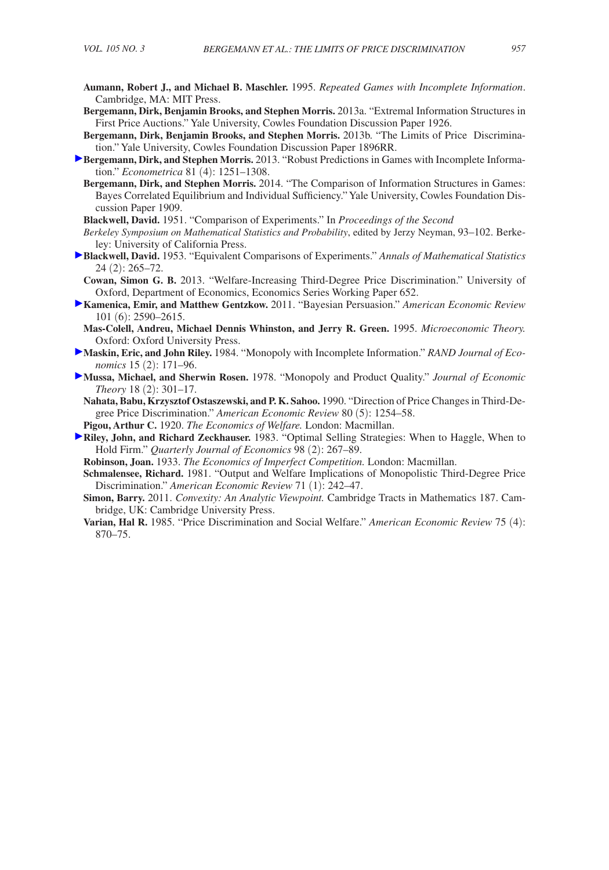- **Aumann, Robert J., and Michael B. Maschler.** 1995. *Repeated Games with Incomplete Information*. Cambridge, MA: MIT Press.
- **Bergemann, Dirk, Benjamin Brooks, and Stephen Morris.** 2013a. "Extremal Information Structures in First Price Auctions." Yale University, Cowles Foundation Discussion Paper 1926.
- **Bergemann, Dirk, Benjamin Brooks, and Stephen Morris.** 2013b. "The Limits of Price Discrimination." Yale University, Cowles Foundation Discussion Paper 1896RR.
- **Bergemann, Dirk, and Stephen Morris.** 2013. "Robust Predictions in Games with Incomplete Information." *Econometrica* 81 (4): 1251–1308.
	- **Bergemann, Dirk, and Stephen Morris.** 2014. "The Comparison of Information Structures in Games: Bayes Correlated Equilibrium and Individual Sufficiency." Yale University, Cowles Foundation Discussion Paper 1909.

**Blackwell, David.** 1951. "Comparison of Experiments." In *Proceedings of the Second* 

- *Berkeley Symposium on Mathematical Statistics and Probability*, edited by Jerzy Neyman, 93–102. Berkeley: University of California Press.
- **Blackwell, David.** 1953. "Equivalent Comparisons of Experiments." *Annals of Mathematical Statistics* 24 (2): 265–72.
	- **Cowan, Simon G. B.** 2013. "Welfare-Increasing Third-Degree Price Discrimination." University of Oxford, Department of Economics, Economics Series Working Paper 652.
- **Kamenica, Emir, and Matthew Gentzkow.** 2011. "Bayesian Persuasion." *American Economic Review* 101 (6): 2590–2615.
- **Mas-Colell, Andreu, Michael Dennis Whinston, and Jerry R. Green.** 1995. *Microeconomic Theory.* Oxford: Oxford University Press.
- **Maskin, Eric, and John Riley.** 1984. "Monopoly with Incomplete Information." *RAND Journal of Economics* 15 (2): 171–96.
- **Mussa, Michael, and Sherwin Rosen.** 1978. "Monopoly and Product Quality." *Journal of Economic Theory* 18 (2): 301–17.
	- **Nahata, Babu, Krzysztof Ostaszewski, and P. K. Sahoo.** 1990. "Direction of Price Changes in Third-Degree Price Discrimination." *American Economic Review* 80 (5): 1254–58.
	- **Pigou, Arthur C.** 1920. *The Economics of Welfare.* London: Macmillan.
- **Riley, John, and Richard Zeckhauser.** 1983. "Optimal Selling Strategies: When to Haggle, When to Hold Firm." *Quarterly Journal of Economics* 98 (2): 267–89.

**Robinson, Joan.** 1933. *The Economics of Imperfect Competition.* London: Macmillan.

- **Schmalensee, Richard.** 1981. "Output and Welfare Implications of Monopolistic Third-Degree Price Discrimination." *American Economic Review* 71 (1): 242–47.
- **Simon, Barry.** 2011. *Convexity: An Analytic Viewpoint.* Cambridge Tracts in Mathematics 187. Cambridge, UK: Cambridge University Press.
- **Varian, Hal R.** 1985. "Price Discrimination and Social Welfare." *American Economic Review* 75 (4): 870–75.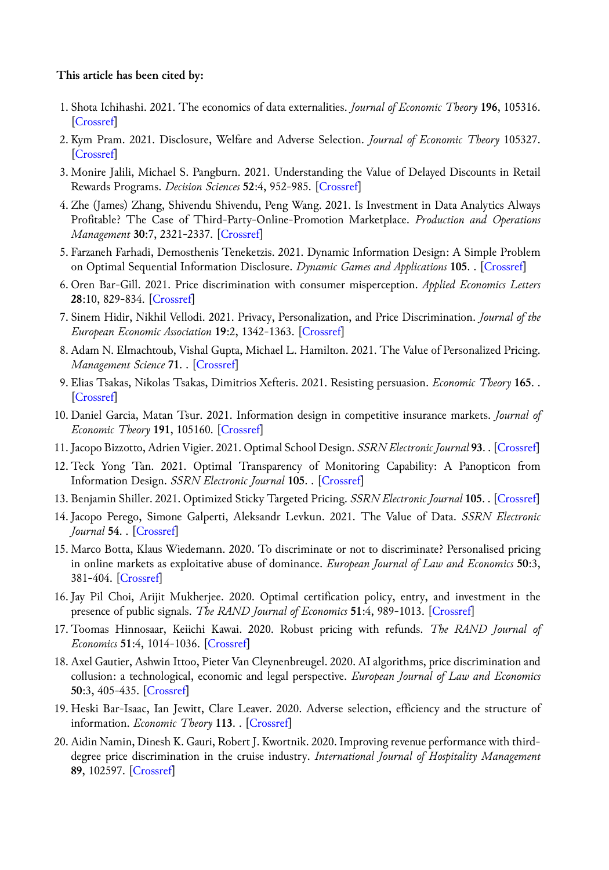## **This article has been cited by:**

- 1. Shota Ichihashi. 2021. The economics of data externalities. *Journal of Economic Theory* **196**, 105316. [\[Crossref](https://doi.org/10.1016/j.jet.2021.105316)]
- 2. Kym Pram. 2021. Disclosure, Welfare and Adverse Selection. *Journal of Economic Theory* 105327. [\[Crossref](https://doi.org/10.1016/j.jet.2021.105327)]
- 3. Monire Jalili, Michael S. Pangburn. 2021. Understanding the Value of Delayed Discounts in Retail Rewards Programs. *Decision Sciences* **52**:4, 952-985. [\[Crossref](https://doi.org/10.1111/deci.12474)]
- 4. Zhe (James) Zhang, Shivendu Shivendu, Peng Wang. 2021. Is Investment in Data Analytics Always Profitable? The Case of Third‐Party‐Online‐Promotion Marketplace. *Production and Operations Management* **30**:7, 2321-2337. [[Crossref\]](https://doi.org/10.1111/poms.13379)
- 5. Farzaneh Farhadi, Demosthenis Teneketzis. 2021. Dynamic Information Design: A Simple Problem on Optimal Sequential Information Disclosure. *Dynamic Games and Applications* **105**. . [[Crossref\]](https://doi.org/10.1007/s13235-021-00392-1)
- 6. Oren Bar-Gill. 2021. Price discrimination with consumer misperception. *Applied Economics Letters* **28**:10, 829-834. [\[Crossref](https://doi.org/10.1080/13504851.2020.1782333)]
- 7. Sinem Hidir, Nikhil Vellodi. 2021. Privacy, Personalization, and Price Discrimination. *Journal of the European Economic Association* **19**:2, 1342-1363. [\[Crossref](https://doi.org/10.1093/jeea/jvaa027)]
- 8. Adam N. Elmachtoub, Vishal Gupta, Michael L. Hamilton. 2021. The Value of Personalized Pricing. *Management Science* **71**. . [\[Crossref](https://doi.org/10.1287/mnsc.2020.3821)]
- 9. Elias Tsakas, Nikolas Tsakas, Dimitrios Xefteris. 2021. Resisting persuasion. *Economic Theory* **165**. . [\[Crossref](https://doi.org/10.1007/s00199-020-01339-0)]
- 10.Daniel Garcia, Matan Tsur. 2021. Information design in competitive insurance markets. *Journal of Economic Theory* **191**, 105160. [[Crossref\]](https://doi.org/10.1016/j.jet.2020.105160)
- 11. Jacopo Bizzotto, Adrien Vigier. 2021. Optimal School Design. *SSRN Electronic Journal* **93**. . [[Crossref\]](https://doi.org/10.2139/ssrn.3877063)
- 12. Teck Yong Tan. 2021. Optimal Transparency of Monitoring Capability: A Panopticon from Information Design. *SSRN Electronic Journal* **105**. . [\[Crossref](https://doi.org/10.2139/ssrn.3843341)]
- 13. Benjamin Shiller. 2021. Optimized Sticky Targeted Pricing. *SSRN Electronic Journal* **105**. . [[Crossref\]](https://doi.org/10.2139/ssrn.3845138)
- 14. Jacopo Perego, Simone Galperti, Aleksandr Levkun. 2021. The Value of Data. *SSRN Electronic Journal* **54**. . [[Crossref\]](https://doi.org/10.2139/ssrn.3866625)
- 15. Marco Botta, Klaus Wiedemann. 2020. To discriminate or not to discriminate? Personalised pricing in online markets as exploitative abuse of dominance. *European Journal of Law and Economics* **50**:3, 381-404. [\[Crossref\]](https://doi.org/10.1007/s10657-019-09636-3)
- 16. Jay Pil Choi, Arijit Mukherjee. 2020. Optimal certification policy, entry, and investment in the presence of public signals. *The RAND Journal of Economics* **51**:4, 989-1013. [[Crossref\]](https://doi.org/10.1111/1756-2171.12347)
- 17. Toomas Hinnosaar, Keiichi Kawai. 2020. Robust pricing with refunds. *The RAND Journal of Economics* **51**:4, 1014-1036. [[Crossref\]](https://doi.org/10.1111/1756-2171.12348)
- 18. Axel Gautier, Ashwin Ittoo, Pieter Van Cleynenbreugel. 2020. AI algorithms, price discrimination and collusion: a technological, economic and legal perspective. *European Journal of Law and Economics* **50**:3, 405-435. [[Crossref\]](https://doi.org/10.1007/s10657-020-09662-6)
- 19. Heski Bar-Isaac, Ian Jewitt, Clare Leaver. 2020. Adverse selection, efficiency and the structure of information. *Economic Theory* **113**. . [\[Crossref](https://doi.org/10.1007/s00199-020-01300-1)]
- 20. Aidin Namin, Dinesh K. Gauri, Robert J. Kwortnik. 2020. Improving revenue performance with thirddegree price discrimination in the cruise industry. *International Journal of Hospitality Management* **89**, 102597. [\[Crossref](https://doi.org/10.1016/j.ijhm.2020.102597)]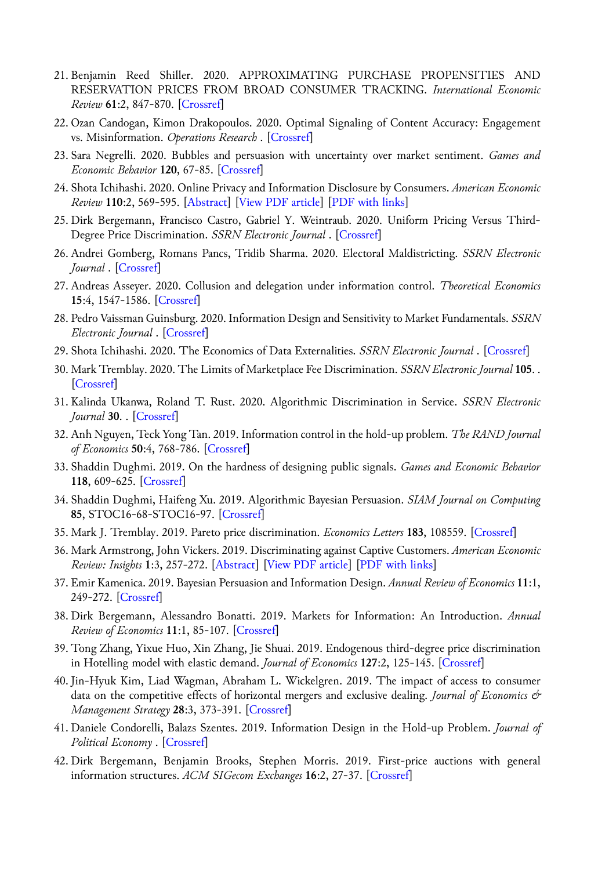- 21. Benjamin Reed Shiller. 2020. APPROXIMATING PURCHASE PROPENSITIES AND RESERVATION PRICES FROM BROAD CONSUMER TRACKING. *International Economic Review* **61**:2, 847-870. [\[Crossref](https://doi.org/10.1111/iere.12442)]
- 22. Ozan Candogan, Kimon Drakopoulos. 2020. Optimal Signaling of Content Accuracy: Engagement vs. Misinformation. *Operations Research* . [\[Crossref](https://doi.org/10.1287/opre.2019.1897)]
- 23. Sara Negrelli. 2020. Bubbles and persuasion with uncertainty over market sentiment. *Games and Economic Behavior* **120**, 67-85. [[Crossref](https://doi.org/10.1016/j.geb.2019.12.007)]
- 24. Shota Ichihashi. 2020. Online Privacy and Information Disclosure by Consumers. *American Economic Review* **110**:2, 569-595. [\[Abstract](https://doi.org/10.1257/aer.20181052)] [[View PDF article\]](http://pubs.aeaweb.org/doi/pdf/10.1257/aer.20181052) [[PDF with links\]](http://pubs.aeaweb.org/doi/pdfplus/10.1257/aer.20181052)
- 25.Dirk Bergemann, Francisco Castro, Gabriel Y. Weintraub. 2020. Uniform Pricing Versus Third-Degree Price Discrimination. *SSRN Electronic Journal* . [[Crossref\]](https://doi.org/10.2139/ssrn.3540156)
- 26. Andrei Gomberg, Romans Pancs, Tridib Sharma. 2020. Electoral Maldistricting. *SSRN Electronic Journal* . [\[Crossref](https://doi.org/10.2139/ssrn.3579221)]
- 27. Andreas Asseyer. 2020. Collusion and delegation under information control. *Theoretical Economics* **15**:4, 1547-1586. [[Crossref\]](https://doi.org/10.3982/TE3556)
- 28. Pedro Vaissman Guinsburg. 2020. Information Design and Sensitivity to Market Fundamentals. *SSRN Electronic Journal* . [[Crossref\]](https://doi.org/10.2139/ssrn.3649741)
- 29. Shota Ichihashi. 2020. The Economics of Data Externalities. *SSRN Electronic Journal* . [\[Crossref](https://doi.org/10.2139/ssrn.3778397)]
- 30. Mark Tremblay. 2020. The Limits of Marketplace Fee Discrimination. *SSRN Electronic Journal* **105**. . [\[Crossref](https://doi.org/10.2139/ssrn.3729378)]
- 31. Kalinda Ukanwa, Roland T. Rust. 2020. Algorithmic Discrimination in Service. *SSRN Electronic Journal* **30**. . [[Crossref\]](https://doi.org/10.2139/ssrn.3654943)
- 32. Anh Nguyen, Teck Yong Tan. 2019. Information control in the hold‐up problem. *The RAND Journal of Economics* **50**:4, 768-786. [[Crossref\]](https://doi.org/10.1111/1756-2171.12295)
- 33. Shaddin Dughmi. 2019. On the hardness of designing public signals. *Games and Economic Behavior* **118**, 609-625. [[Crossref\]](https://doi.org/10.1016/j.geb.2018.08.001)
- 34. Shaddin Dughmi, Haifeng Xu. 2019. Algorithmic Bayesian Persuasion. *SIAM Journal on Computing* **85**, STOC16-68-STOC16-97. [[Crossref\]](https://doi.org/10.1137/16M1098334)
- 35. Mark J. Tremblay. 2019. Pareto price discrimination. *Economics Letters* **183**, 108559. [\[Crossref\]](https://doi.org/10.1016/j.econlet.2019.108559)
- 36. Mark Armstrong, John Vickers. 2019. Discriminating against Captive Customers. *American Economic Review: Insights* **1**:3, 257-272. [\[Abstract](https://doi.org/10.1257/aeri.20180581)] [\[View PDF article](http://pubs.aeaweb.org/doi/pdf/10.1257/aeri.20180581)] [[PDF with links](http://pubs.aeaweb.org/doi/pdfplus/10.1257/aeri.20180581)]
- 37. Emir Kamenica. 2019. Bayesian Persuasion and Information Design. *Annual Review of Economics* **11**:1, 249-272. [\[Crossref\]](https://doi.org/10.1146/annurev-economics-080218-025739)
- 38.Dirk Bergemann, Alessandro Bonatti. 2019. Markets for Information: An Introduction. *Annual Review of Economics* **11**:1, 85-107. [[Crossref\]](https://doi.org/10.1146/annurev-economics-080315-015439)
- 39. Tong Zhang, Yixue Huo, Xin Zhang, Jie Shuai. 2019. Endogenous third-degree price discrimination in Hotelling model with elastic demand. *Journal of Economics* **127**:2, 125-145. [[Crossref\]](https://doi.org/10.1007/s00712-018-0635-z)
- 40. Jin‐Hyuk Kim, Liad Wagman, Abraham L. Wickelgren. 2019. The impact of access to consumer data on the competitive effects of horizontal mergers and exclusive dealing. *Journal of Economics & Management Strategy* **28**:3, 373-391. [\[Crossref](https://doi.org/10.1111/jems.12285)]
- 41.Daniele Condorelli, Balazs Szentes. 2019. Information Design in the Hold-up Problem. *Journal of Political Economy* . [\[Crossref](https://doi.org/10.1086/704574)]
- 42.Dirk Bergemann, Benjamin Brooks, Stephen Morris. 2019. First-price auctions with general information structures. *ACM SIGecom Exchanges* **16**:2, 27-37. [\[Crossref](https://doi.org/10.1145/3331041.3331045)]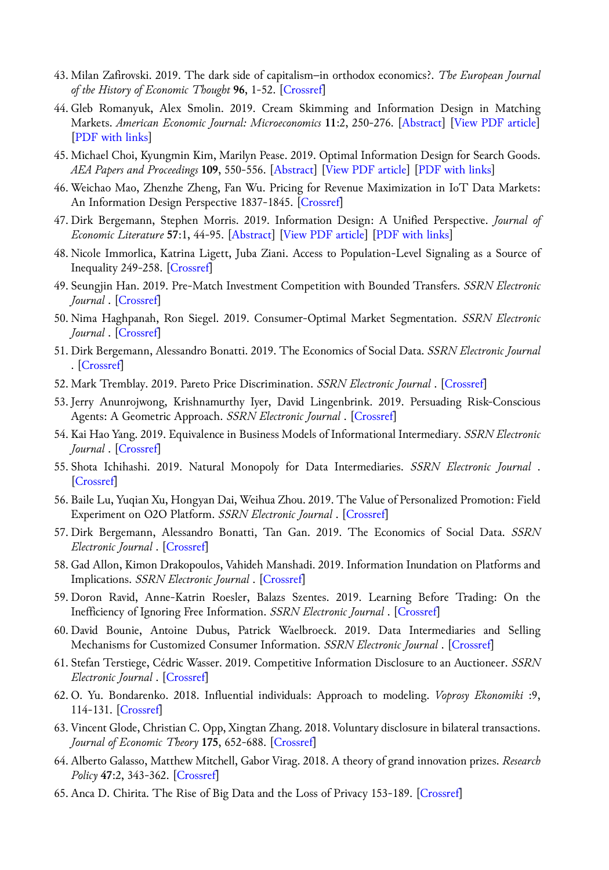- 43. Milan Zafirovski. 2019. The dark side of capitalism–in orthodox economics?. *The European Journal of the History of Economic Thought* **96**, 1-52. [[Crossref\]](https://doi.org/10.1080/09672567.2019.1609056)
- 44. Gleb Romanyuk, Alex Smolin. 2019. Cream Skimming and Information Design in Matching Markets. *American Economic Journal: Microeconomics* **11**:2, 250-276. [[Abstract\]](https://doi.org/10.1257/mic.20170154) [[View PDF article\]](http://pubs.aeaweb.org/doi/pdf/10.1257/mic.20170154) [\[PDF with links\]](http://pubs.aeaweb.org/doi/pdfplus/10.1257/mic.20170154)
- 45. Michael Choi, Kyungmin Kim, Marilyn Pease. 2019. Optimal Information Design for Search Goods. *AEA Papers and Proceedings* **109**, 550-556. [[Abstract\]](https://doi.org/10.1257/pandp.20191101) [\[View PDF article](http://pubs.aeaweb.org/doi/pdf/10.1257/pandp.20191101)] [\[PDF with links\]](http://pubs.aeaweb.org/doi/pdfplus/10.1257/pandp.20191101)
- 46. Weichao Mao, Zhenzhe Zheng, Fan Wu. Pricing for Revenue Maximization in IoT Data Markets: An Information Design Perspective 1837-1845. [[Crossref\]](https://doi.org/10.1109/INFOCOM.2019.8737571)
- 47.Dirk Bergemann, Stephen Morris. 2019. Information Design: A Unified Perspective. *Journal of Economic Literature* **57**:1, 44-95. [[Abstract\]](https://doi.org/10.1257/jel.20181489) [[View PDF article\]](http://pubs.aeaweb.org/doi/pdf/10.1257/jel.20181489) [\[PDF with links\]](http://pubs.aeaweb.org/doi/pdfplus/10.1257/jel.20181489)
- 48. Nicole Immorlica, Katrina Ligett, Juba Ziani. Access to Population-Level Signaling as a Source of Inequality 249-258. [[Crossref\]](https://doi.org/10.1145/3287560.3287579)
- 49. Seungjin Han. 2019. Pre-Match Investment Competition with Bounded Transfers. *SSRN Electronic Journal* . [\[Crossref](https://doi.org/10.2139/ssrn.3326093)]
- 50. Nima Haghpanah, Ron Siegel. 2019. Consumer-Optimal Market Segmentation. *SSRN Electronic Journal* . [\[Crossref](https://doi.org/10.2139/ssrn.3333940)]
- 51.Dirk Bergemann, Alessandro Bonatti. 2019. The Economics of Social Data. *SSRN Electronic Journal* . [\[Crossref\]](https://doi.org/10.2139/ssrn.3360352)
- 52. Mark Tremblay. 2019. Pareto Price Discrimination. *SSRN Electronic Journal* . [[Crossref](https://doi.org/10.2139/ssrn.3371037)]
- 53. Jerry Anunrojwong, Krishnamurthy Iyer, David Lingenbrink. 2019. Persuading Risk-Conscious Agents: A Geometric Approach. *SSRN Electronic Journal* . [\[Crossref](https://doi.org/10.2139/ssrn.3386273)]
- 54. Kai Hao Yang. 2019. Equivalence in Business Models of Informational Intermediary. *SSRN Electronic Journal* . [\[Crossref](https://doi.org/10.2139/ssrn.3457015)]
- 55. Shota Ichihashi. 2019. Natural Monopoly for Data Intermediaries. *SSRN Electronic Journal* . [\[Crossref](https://doi.org/10.2139/ssrn.3310410)]
- 56. Baile Lu, Yuqian Xu, Hongyan Dai, Weihua Zhou. 2019. The Value of Personalized Promotion: Field Experiment on O2O Platform. *SSRN Electronic Journal* . [\[Crossref](https://doi.org/10.2139/ssrn.3445110)]
- 57.Dirk Bergemann, Alessandro Bonatti, Tan Gan. 2019. The Economics of Social Data. *SSRN Electronic Journal* . [[Crossref\]](https://doi.org/10.2139/ssrn.3459796)
- 58. Gad Allon, Kimon Drakopoulos, Vahideh Manshadi. 2019. Information Inundation on Platforms and Implications. *SSRN Electronic Journal* . [[Crossref\]](https://doi.org/10.2139/ssrn.3385627)
- 59.Doron Ravid, Anne-Katrin Roesler, Balazs Szentes. 2019. Learning Before Trading: On the Inefficiency of Ignoring Free Information. *SSRN Electronic Journal* . [\[Crossref](https://doi.org/10.2139/ssrn.3317917)]
- 60.David Bounie, Antoine Dubus, Patrick Waelbroeck. 2019. Data Intermediaries and Selling Mechanisms for Customized Consumer Information. *SSRN Electronic Journal* . [[Crossref\]](https://doi.org/10.2139/ssrn.3454193)
- 61. Stefan Terstiege, Cédric Wasser. 2019. Competitive Information Disclosure to an Auctioneer. *SSRN Electronic Journal* . [[Crossref\]](https://doi.org/10.2139/ssrn.3444994)
- 62. O. Yu. Bondarenko. 2018. Influential individuals: Approach to modeling. *Voprosy Ekonomiki* :9, 114-131. [\[Crossref\]](https://doi.org/10.32609/0042-8736-2018-9-114-131)
- 63. Vincent Glode, Christian C. Opp, Xingtan Zhang. 2018. Voluntary disclosure in bilateral transactions. *Journal of Economic Theory* **175**, 652-688. [[Crossref\]](https://doi.org/10.1016/j.jet.2018.02.005)
- 64. Alberto Galasso, Matthew Mitchell, Gabor Virag. 2018. A theory of grand innovation prizes. *Research Policy* **47**:2, 343-362. [\[Crossref](https://doi.org/10.1016/j.respol.2017.11.009)]
- 65. Anca D. Chirita. The Rise of Big Data and the Loss of Privacy 153-189. [[Crossref\]](https://doi.org/10.1007/978-3-662-57646-5_7)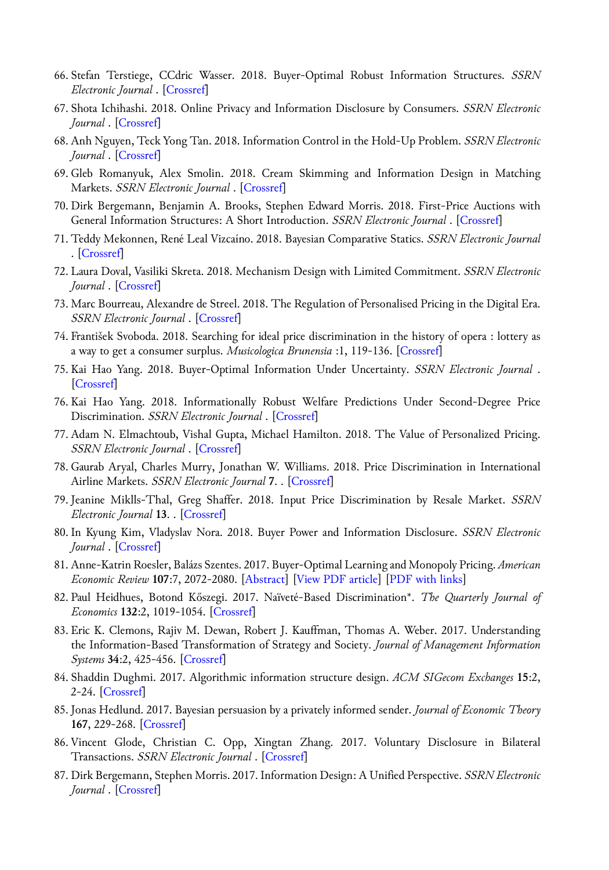- 66. Stefan Terstiege, CCdric Wasser. 2018. Buyer-Optimal Robust Information Structures. *SSRN Electronic Journal* . [[Crossref\]](https://doi.org/10.2139/ssrn.3006600)
- 67. Shota Ichihashi. 2018. Online Privacy and Information Disclosure by Consumers. *SSRN Electronic Journal* . [\[Crossref](https://doi.org/10.2139/ssrn.3112905)]
- 68. Anh Nguyen, Teck Yong Tan. 2018. Information Control in the Hold-Up Problem. *SSRN Electronic Journal* . [\[Crossref](https://doi.org/10.2139/ssrn.3173662)]
- 69. Gleb Romanyuk, Alex Smolin. 2018. Cream Skimming and Information Design in Matching Markets. *SSRN Electronic Journal* . [[Crossref\]](https://doi.org/10.2139/ssrn.3178328)
- 70.Dirk Bergemann, Benjamin A. Brooks, Stephen Edward Morris. 2018. First-Price Auctions with General Information Structures: A Short Introduction. *SSRN Electronic Journal* . [[Crossref\]](https://doi.org/10.2139/ssrn.3186516)
- 71. Teddy Mekonnen, René Leal Vizcaíno. 2018. Bayesian Comparative Statics. *SSRN Electronic Journal* . [\[Crossref\]](https://doi.org/10.2139/ssrn.3227239)
- 72. Laura Doval, Vasiliki Skreta. 2018. Mechanism Design with Limited Commitment. *SSRN Electronic Journal* . [\[Crossref](https://doi.org/10.2139/ssrn.3281132)]
- 73. Marc Bourreau, Alexandre de Streel. 2018. The Regulation of Personalised Pricing in the Digital Era. *SSRN Electronic Journal* . [[Crossref\]](https://doi.org/10.2139/ssrn.3312158)
- 74. František Svoboda. 2018. Searching for ideal price discrimination in the history of opera : lottery as a way to get a consumer surplus. *Musicologica Brunensia* :1, 119-136. [\[Crossref](https://doi.org/10.5817/MB2018-1-10)]
- 75. Kai Hao Yang. 2018. Buyer-Optimal Information Under Uncertainty. *SSRN Electronic Journal* . [\[Crossref](https://doi.org/10.2139/ssrn.3306455)]
- 76. Kai Hao Yang. 2018. Informationally Robust Welfare Predictions Under Second-Degree Price Discrimination. *SSRN Electronic Journal* . [\[Crossref](https://doi.org/10.2139/ssrn.3320956)]
- 77. Adam N. Elmachtoub, Vishal Gupta, Michael Hamilton. 2018. The Value of Personalized Pricing. *SSRN Electronic Journal* . [[Crossref\]](https://doi.org/10.2139/ssrn.3127719)
- 78. Gaurab Aryal, Charles Murry, Jonathan W. Williams. 2018. Price Discrimination in International Airline Markets. *SSRN Electronic Journal* **7**. . [\[Crossref](https://doi.org/10.2139/ssrn.3288276)]
- 79. Jeanine Miklls-Thal, Greg Shaffer. 2018. Input Price Discrimination by Resale Market. *SSRN Electronic Journal* **13**. . [\[Crossref](https://doi.org/10.2139/ssrn.3191951)]
- 80. In Kyung Kim, Vladyslav Nora. 2018. Buyer Power and Information Disclosure. *SSRN Electronic Journal* . [\[Crossref](https://doi.org/10.2139/ssrn.3134426)]
- 81. Anne-Katrin Roesler, Balázs Szentes. 2017. Buyer-Optimal Learning and Monopoly Pricing. *American Economic Review* **107**:7, 2072-2080. [[Abstract\]](https://doi.org/10.1257/aer.20160145) [[View PDF article\]](http://pubs.aeaweb.org/doi/pdf/10.1257/aer.20160145) [\[PDF with links\]](http://pubs.aeaweb.org/doi/pdfplus/10.1257/aer.20160145)
- 82. Paul Heidhues, Botond Kőszegi. 2017. Naïveté-Based Discrimination\*. *The Quarterly Journal of Economics* **132**:2, 1019-1054. [[Crossref\]](https://doi.org/10.1093/qje/qjw042)
- 83. Eric K. Clemons, Rajiv M. Dewan, Robert J. Kauffman, Thomas A. Weber. 2017. Understanding the Information-Based Transformation of Strategy and Society. *Journal of Management Information Systems* **34**:2, 425-456. [\[Crossref](https://doi.org/10.1080/07421222.2017.1334474)]
- 84. Shaddin Dughmi. 2017. Algorithmic information structure design. *ACM SIGecom Exchanges* **15**:2, 2-24. [\[Crossref\]](https://doi.org/10.1145/3055589.3055591)
- 85. Jonas Hedlund. 2017. Bayesian persuasion by a privately informed sender. *Journal of Economic Theory* **167**, 229-268. [[Crossref\]](https://doi.org/10.1016/j.jet.2016.11.003)
- 86. Vincent Glode, Christian C. Opp, Xingtan Zhang. 2017. Voluntary Disclosure in Bilateral Transactions. *SSRN Electronic Journal* . [[Crossref\]](https://doi.org/10.2139/ssrn.2869232)
- 87.Dirk Bergemann, Stephen Morris. 2017. Information Design: A Unified Perspective. *SSRN Electronic Journal* . [\[Crossref](https://doi.org/10.2139/ssrn.2919675)]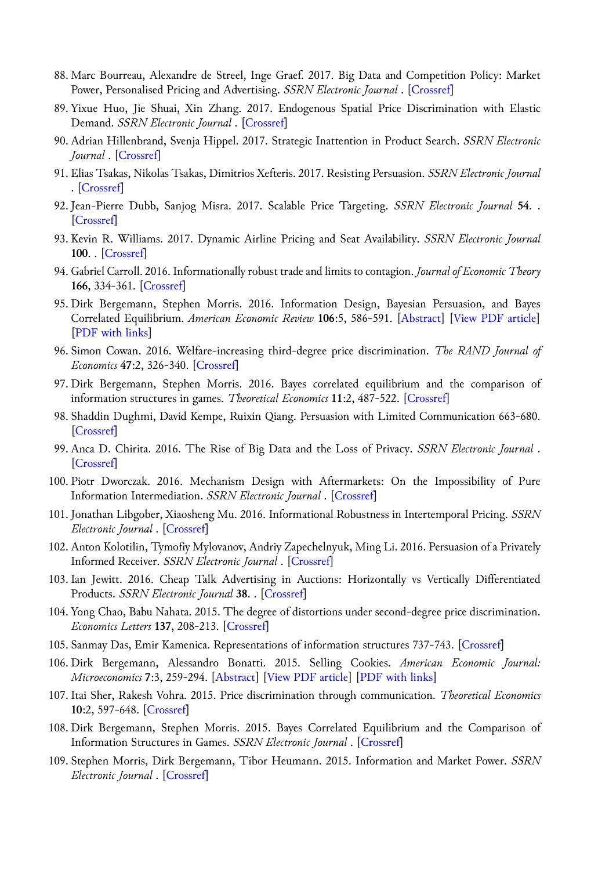- 88. Marc Bourreau, Alexandre de Streel, Inge Graef. 2017. Big Data and Competition Policy: Market Power, Personalised Pricing and Advertising. *SSRN Electronic Journal* . [\[Crossref\]](https://doi.org/10.2139/ssrn.2920301)
- 89. Yixue Huo, Jie Shuai, Xin Zhang. 2017. Endogenous Spatial Price Discrimination with Elastic Demand. *SSRN Electronic Journal* . [\[Crossref](https://doi.org/10.2139/ssrn.2961069)]
- 90. Adrian Hillenbrand, Svenja Hippel. 2017. Strategic Inattention in Product Search. *SSRN Electronic Journal* . [\[Crossref](https://doi.org/10.2139/ssrn.3048205)]
- 91. Elias Tsakas, Nikolas Tsakas, Dimitrios Xefteris. 2017. Resisting Persuasion. *SSRN Electronic Journal* . [\[Crossref\]](https://doi.org/10.2139/ssrn.3037349)
- 92. Jean-Pierre Dubb, Sanjog Misra. 2017. Scalable Price Targeting. *SSRN Electronic Journal* **54**. . [\[Crossref](https://doi.org/10.2139/ssrn.2992257)]
- 93. Kevin R. Williams. 2017. Dynamic Airline Pricing and Seat Availability. *SSRN Electronic Journal* **100**. . [[Crossref\]](https://doi.org/10.2139/ssrn.3026383)
- 94. Gabriel Carroll. 2016. Informationally robust trade and limits to contagion. *Journal of Economic Theory* **166**, 334-361. [[Crossref\]](https://doi.org/10.1016/j.jet.2016.09.003)
- 95.Dirk Bergemann, Stephen Morris. 2016. Information Design, Bayesian Persuasion, and Bayes Correlated Equilibrium. *American Economic Review* **106**:5, 586-591. [[Abstract\]](https://doi.org/10.1257/aer.p20161046) [\[View PDF article\]](http://pubs.aeaweb.org/doi/pdf/10.1257/aer.p20161046) [\[PDF with links\]](http://pubs.aeaweb.org/doi/pdfplus/10.1257/aer.p20161046)
- 96. Simon Cowan. 2016. Welfare-increasing third-degree price discrimination. *The RAND Journal of Economics* **47**:2, 326-340. [[Crossref\]](https://doi.org/10.1111/1756-2171.12128)
- 97.Dirk Bergemann, Stephen Morris. 2016. Bayes correlated equilibrium and the comparison of information structures in games. *Theoretical Economics* **11**:2, 487-522. [\[Crossref](https://doi.org/10.3982/TE1808)]
- 98. Shaddin Dughmi, David Kempe, Ruixin Qiang. Persuasion with Limited Communication 663-680. [\[Crossref](https://doi.org/10.1145/2940716.2940781)]
- 99. Anca D. Chirita. 2016. The Rise of Big Data and the Loss of Privacy. *SSRN Electronic Journal* . [\[Crossref](https://doi.org/10.2139/ssrn.2795992)]
- 100. Piotr Dworczak. 2016. Mechanism Design with Aftermarkets: On the Impossibility of Pure Information Intermediation. *SSRN Electronic Journal* . [[Crossref\]](https://doi.org/10.2139/ssrn.2892085)
- 101. Jonathan Libgober, Xiaosheng Mu. 2016. Informational Robustness in Intertemporal Pricing. *SSRN Electronic Journal* . [[Crossref\]](https://doi.org/10.2139/ssrn.2892096)
- 102. Anton Kolotilin, Tymofiy Mylovanov, Andriy Zapechelnyuk, Ming Li. 2016. Persuasion of a Privately Informed Receiver. *SSRN Electronic Journal* . [[Crossref\]](https://doi.org/10.2139/ssrn.2913916)
- 103. Ian Jewitt. 2016. Cheap Talk Advertising in Auctions: Horizontally vs Vertically Differentiated Products. *SSRN Electronic Journal* **38**. . [[Crossref\]](https://doi.org/10.2139/ssrn.2872322)
- 104. Yong Chao, Babu Nahata. 2015. The degree of distortions under second-degree price discrimination. *Economics Letters* **137**, 208-213. [[Crossref\]](https://doi.org/10.1016/j.econlet.2015.11.013)
- 105. Sanmay Das, Emir Kamenica. Representations of information structures 737-743. [\[Crossref](https://doi.org/10.1109/ALLERTON.2015.7447079)]
- 106.Dirk Bergemann, Alessandro Bonatti. 2015. Selling Cookies. *American Economic Journal: Microeconomics* **7**:3, 259-294. [\[Abstract](https://doi.org/10.1257/mic.20140155)] [\[View PDF article](http://pubs.aeaweb.org/doi/pdf/10.1257/mic.20140155)] [[PDF with links](http://pubs.aeaweb.org/doi/pdfplus/10.1257/mic.20140155)]
- 107. Itai Sher, Rakesh Vohra. 2015. Price discrimination through communication. *Theoretical Economics* **10**:2, 597-648. [[Crossref\]](https://doi.org/10.3982/TE1129)
- 108.Dirk Bergemann, Stephen Morris. 2015. Bayes Correlated Equilibrium and the Comparison of Information Structures in Games. *SSRN Electronic Journal* . [[Crossref\]](https://doi.org/10.2139/ssrn.2594822)
- 109. Stephen Morris, Dirk Bergemann, Tibor Heumann. 2015. Information and Market Power. *SSRN Electronic Journal* . [[Crossref\]](https://doi.org/10.2139/ssrn.2639274)